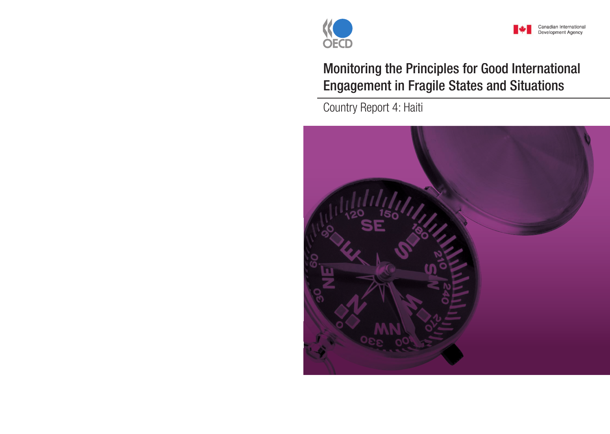



# Monitoring the Principles for Good International Engagement in Fragile States and Situations

Country Report 4: Haiti

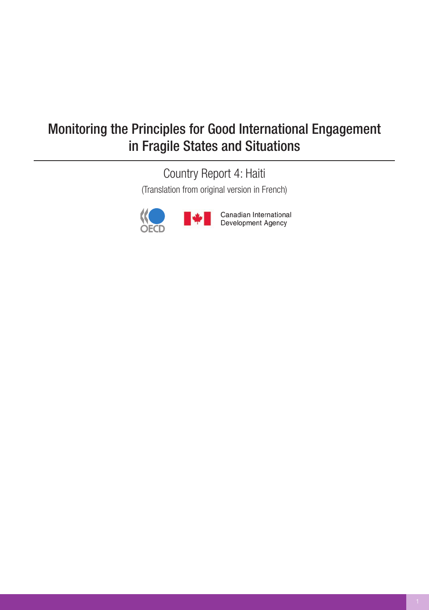# Monitoring the Principles for Good International Engagement in Fragile States and Situations

Country Report 4: Haiti (Translation from original version in French)



Canadian International Development Agency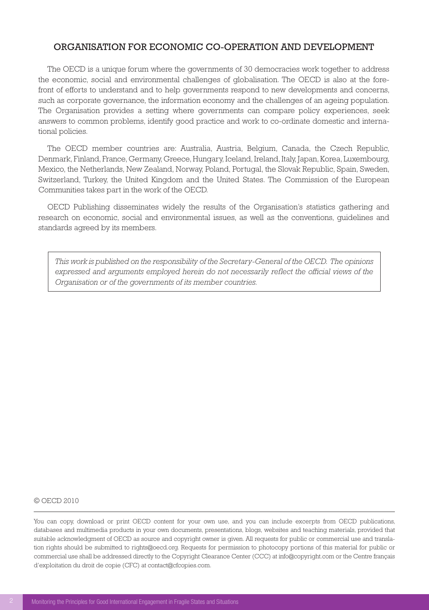### ORGANISATION FOR ECONOMIC CO-OPERATION AND DEVELOPMENT

The OECD is a unique forum where the governments of 30 democracies work together to address the economic, social and environmental challenges of globalisation. The OECD is also at the forefront of efforts to understand and to help governments respond to new developments and concerns, such as corporate governance, the information economy and the challenges of an ageing population. The Organisation provides a setting where governments can compare policy experiences, seek answers to common problems, identify good practice and work to co-ordinate domestic and international policies.

The OECD member countries are: Australia, Austria, Belgium, Canada, the Czech Republic, Denmark, Finland, France, Germany, Greece, Hungary, Iceland, Ireland, Italy, Japan, Korea, Luxembourg, Mexico, the Netherlands, New Zealand, Norway, Poland, Portugal, the Slovak Republic, Spain, Sweden, Switzerland, Turkey, the United Kingdom and the United States. The Commission of the European Communities takes part in the work of the OECD.

OECD Publishing disseminates widely the results of the Organisation's statistics gathering and research on economic, social and environmental issues, as well as the conventions, guidelines and standards agreed by its members.

*This work is published on the responsibility of the Secretary-General of the OECD. The opinions*  expressed and arguments employed herein do not necessarily reflect the official views of the *Organisation or of the governments of its member countries.*

### © OECD 2010

You can copy, download or print OECD content for your own use, and you can include excerpts from OECD publications, databases and multimedia products in your own documents, presentations, blogs, websites and teaching materials, provided that suitable acknowledgment of OECD as source and copyright owner is given. All requests for public or commercial use and translation rights should be submitted to rights@oecd.org. Requests for permission to photocopy portions of this material for public or commercial use shall be addressed directly to the Copyright Clearance Center (CCC) at info@copyright.com or the Centre français d'exploitation du droit de copie (CFC) at contact@cfcopies.com.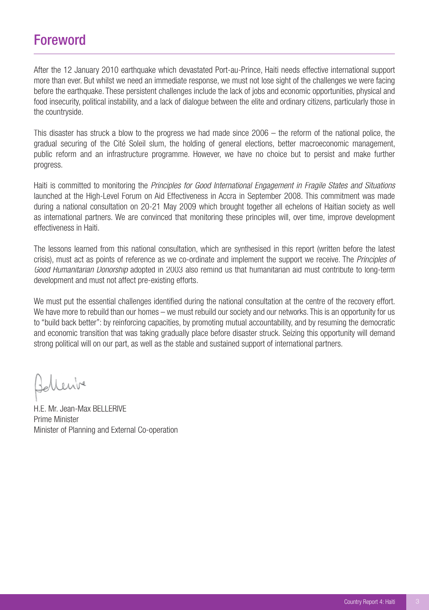## Foreword

After the 12 January 2010 earthquake which devastated Port-au-Prince, Haiti needs effective international support more than ever. But whilst we need an immediate response, we must not lose sight of the challenges we were facing before the earthquake. These persistent challenges include the lack of jobs and economic opportunities, physical and food insecurity, political instability, and a lack of dialogue between the elite and ordinary citizens, particularly those in the countryside.

This disaster has struck a blow to the progress we had made since 2006 – the reform of the national police, the gradual securing of the Cité Soleil slum, the holding of general elections, better macroeconomic management, public reform and an infrastructure programme. However, we have no choice but to persist and make further progress.

Haiti is committed to monitoring the *Principles for Good International Engagement in Fragile States and Situations*  launched at the High-Level Forum on Aid Effectiveness in Accra in September 2008. This commitment was made during a national consultation on 20-21 May 2009 which brought together all echelons of Haitian society as well as international partners. We are convinced that monitoring these principles will, over time, improve development effectiveness in Haiti.

The lessons learned from this national consultation, which are synthesised in this report (written before the latest crisis), must act as points of reference as we co-ordinate and implement the support we receive. The *Principles of Good Humanitarian Donorship* adopted in 2003 also remind us that humanitarian aid must contribute to long-term development and must not affect pre-existing efforts.

We must put the essential challenges identified during the national consultation at the centre of the recovery effort. We have more to rebuild than our homes – we must rebuild our society and our networks. This is an opportunity for us to "build back better": by reinforcing capacities, by promoting mutual accountability, and by resuming the democratic and economic transition that was taking gradually place before disaster struck. Seizing this opportunity will demand strong political will on our part, as well as the stable and sustained support of international partners.

Mente

H.E. Mr. Jean-Max BELLERIVE Prime Minister Minister of Planning and External Co-operation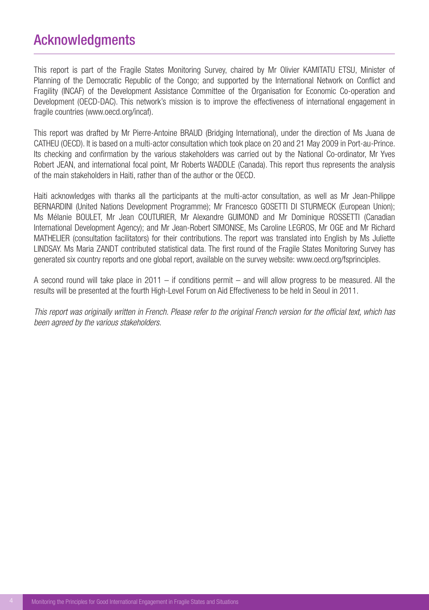## Acknowledgments

This report is part of the Fragile States Monitoring Survey, chaired by Mr Olivier KAMITATU ETSU, Minister of Planning of the Democratic Republic of the Congo; and supported by the International Network on Conflict and Fragility (INCAF) of the Development Assistance Committee of the Organisation for Economic Co-operation and Development (OECD-DAC). This network's mission is to improve the effectiveness of international engagement in fragile countries (www.oecd.org/incaf).

This report was drafted by Mr Pierre-Antoine BRAUD (Bridging International), under the direction of Ms Juana de CATHEU (OECD). It is based on a multi-actor consultation which took place on 20 and 21 May 2009 in Port-au-Prince. Its checking and confirmation by the various stakeholders was carried out by the National Co-ordinator, Mr Yves Robert JEAN, and international focal point, Mr Roberts WADDLE (Canada). This report thus represents the analysis of the main stakeholders in Haiti, rather than of the author or the OECD.

Haiti acknowledges with thanks all the participants at the multi-actor consultation, as well as Mr Jean-Philippe BERNARDINI (United Nations Development Programme); Mr Francesco GOSETTI DI STURMECK (European Union); Ms Mélanie BOULET, Mr Jean COUTURIER, Mr Alexandre GUIMOND and Mr Dominique ROSSETTI (Canadian International Development Agency); and Mr Jean-Robert SIMONISE, Ms Caroline LEGROS, Mr OGE and Mr Richard MATHELIER (consultation facilitators) for their contributions. The report was translated into English by Ms Juliette LINDSAY. Ms Maria ZANDT contributed statistical data. The first round of the Fragile States Monitoring Survey has generated six country reports and one global report, available on the survey website: www.oecd.org/fsprinciples.

A second round will take place in 2011 – if conditions permit – and will allow progress to be measured. All the results will be presented at the fourth High-Level Forum on Aid Effectiveness to be held in Seoul in 2011.

*This report was originally written in French. Please refer to the original French version for the official text, which has been agreed by the various stakeholders.*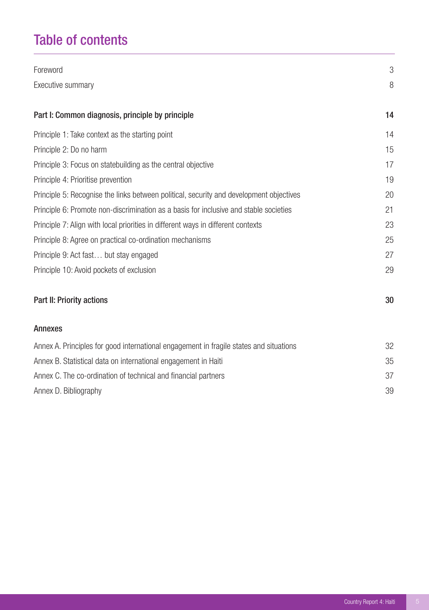# Table of contents

| Foreword                                                                                | 3  |
|-----------------------------------------------------------------------------------------|----|
| Executive summary                                                                       | 8  |
| Part I: Common diagnosis, principle by principle                                        | 14 |
| Principle 1: Take context as the starting point                                         | 14 |
| Principle 2: Do no harm                                                                 | 15 |
| Principle 3: Focus on statebuilding as the central objective                            | 17 |
| Principle 4: Prioritise prevention                                                      | 19 |
| Principle 5: Recognise the links between political, security and development objectives | 20 |
| Principle 6: Promote non-discrimination as a basis for inclusive and stable societies   | 21 |
| Principle 7: Align with local priorities in different ways in different contexts        | 23 |
| Principle 8: Agree on practical co-ordination mechanisms                                | 25 |
| Principle 9: Act fast but stay engaged                                                  | 27 |
| Principle 10: Avoid pockets of exclusion                                                | 29 |
| Part II: Priority actions                                                               | 30 |
| <b>Annexes</b>                                                                          |    |
| Annex A. Principles for good international engagement in fragile states and situations  | 32 |
| Annex B. Statistical data on international engagement in Haiti                          | 35 |
| Annex C. The co-ordination of technical and financial partners                          | 37 |
| Annex D. Bibliography                                                                   | 39 |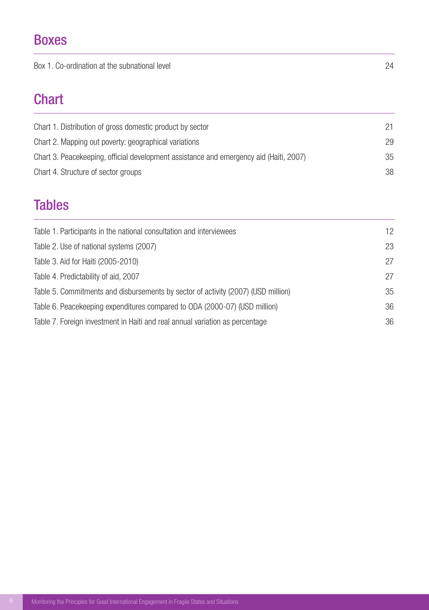# Boxes

Box 1. Co-ordination at the subnational level 24

# **Chart**

| Chart 1. Distribution of gross domestic product by sector                              | 21. |
|----------------------------------------------------------------------------------------|-----|
| Chart 2. Mapping out poverty: geographical variations                                  | 29  |
| Chart 3. Peacekeeping, official development assistance and emergency aid (Haiti, 2007) | 35  |
| Chart 4. Structure of sector groups                                                    | 38  |

# **Tables**

| 12 |
|----|
| 23 |
| 27 |
| 27 |
| 35 |
| 36 |
| 36 |
|    |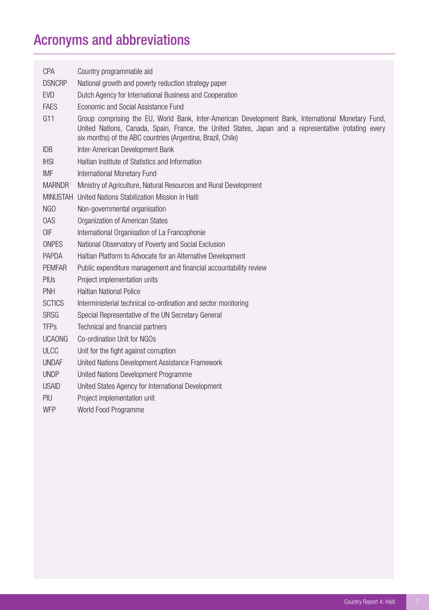# Acronyms and abbreviations

| <b>CPA</b>      | Country programmable aid                                                                                                                                                                                                                                                  |
|-----------------|---------------------------------------------------------------------------------------------------------------------------------------------------------------------------------------------------------------------------------------------------------------------------|
| <b>DSNCRP</b>   | National growth and poverty reduction strategy paper                                                                                                                                                                                                                      |
| <b>EVD</b>      | Dutch Agency for International Business and Cooperation                                                                                                                                                                                                                   |
| <b>FAES</b>     | Economic and Social Assistance Fund                                                                                                                                                                                                                                       |
| G11             | Group comprising the EU, World Bank, Inter-American Development Bank, International Monetary Fund,<br>United Nations, Canada, Spain, France, the United States, Japan and a representative (rotating every<br>six months) of the ABC countries (Argentina, Brazil, Chile) |
| <b>IDB</b>      | Inter-American Development Bank                                                                                                                                                                                                                                           |
| <b>IHSI</b>     | Haitian Institute of Statistics and Information                                                                                                                                                                                                                           |
| IMF             | <b>International Monetary Fund</b>                                                                                                                                                                                                                                        |
| <b>MARNDR</b>   | Ministry of Agriculture, Natural Resources and Rural Development                                                                                                                                                                                                          |
| <b>MINUSTAH</b> | United Nations Stabilization Mission in Haiti                                                                                                                                                                                                                             |
| NGO             | Non-governmental organisation                                                                                                                                                                                                                                             |
| <b>OAS</b>      | Organization of American States                                                                                                                                                                                                                                           |
| 0IF             | International Organisation of La Francophonie                                                                                                                                                                                                                             |
| <b>ONPES</b>    | National Observatory of Poverty and Social Exclusion                                                                                                                                                                                                                      |
| PAPDA           | Haitian Platform to Advocate for an Alternative Development                                                                                                                                                                                                               |
| <b>PEMFAR</b>   | Public expenditure management and financial accountability review                                                                                                                                                                                                         |
| PIUs            | Project implementation units                                                                                                                                                                                                                                              |
| PNH             | Haitian National Police                                                                                                                                                                                                                                                   |
| <b>SCTICS</b>   | Interministerial technical co-ordination and sector monitoring                                                                                                                                                                                                            |
| <b>SRSG</b>     | Special Representative of the UN Secretary General                                                                                                                                                                                                                        |
| <b>TFPs</b>     | Technical and financial partners                                                                                                                                                                                                                                          |
| <b>UCAONG</b>   | Co-ordination Unit for NGOs                                                                                                                                                                                                                                               |
| <b>ULCC</b>     | Unit for the fight against corruption                                                                                                                                                                                                                                     |
| <b>UNDAF</b>    | United Nations Development Assistance Framework                                                                                                                                                                                                                           |
| <b>UNDP</b>     | United Nations Development Programme                                                                                                                                                                                                                                      |
| <b>USAID</b>    | United States Agency for International Development                                                                                                                                                                                                                        |
| PIU             | Project implementation unit                                                                                                                                                                                                                                               |
| <b>WFP</b>      | World Food Programme                                                                                                                                                                                                                                                      |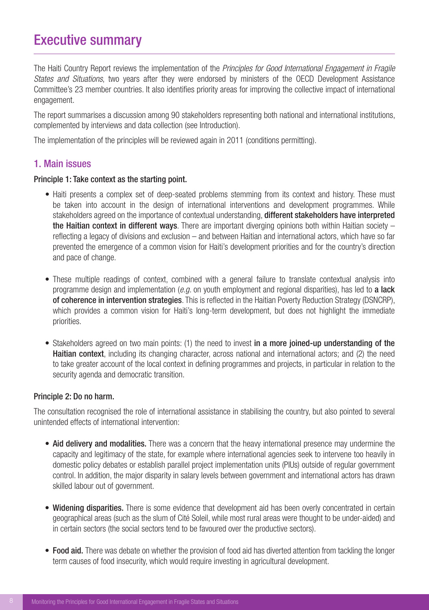# Executive summary

The Haiti Country Report reviews the implementation of the *Principles for Good International Engagement in Fragile States and Situations*, two years after they were endorsed by ministers of the OECD Development Assistance Committee's 23 member countries. It also identifies priority areas for improving the collective impact of international engagement.

The report summarises a discussion among 90 stakeholders representing both national and international institutions, complemented by interviews and data collection (see Introduction).

The implementation of the principles will be reviewed again in 2011 (conditions permitting).

### 1. Main issues

### Principle 1: Take context as the starting point.

- Haiti presents a complex set of deep-seated problems stemming from its context and history. These must be taken into account in the design of international interventions and development programmes. While stakeholders agreed on the importance of contextual understanding, **different stakeholders have interpreted** the Haitian context in different ways. There are important diverging opinions both within Haitian society  $$ reflecting a legacy of divisions and exclusion – and between Haitian and international actors, which have so far prevented the emergence of a common vision for Haiti's development priorities and for the country's direction and pace of change.
- These multiple readings of context, combined with a general failure to translate contextual analysis into programme design and implementation (*e.g.* on youth employment and regional disparities), has led to a lack of coherence in intervention strategies. This is reflected in the Haitian Poverty Reduction Strategy (DSNCRP), which provides a common vision for Haiti's long-term development, but does not highlight the immediate priorities.
- Stakeholders agreed on two main points: (1) the need to invest in a more joined-up understanding of the **Haitian context**, including its changing character, across national and international actors; and (2) the need to take greater account of the local context in defining programmes and projects, in particular in relation to the security agenda and democratic transition.

### Principle 2: Do no harm.

The consultation recognised the role of international assistance in stabilising the country, but also pointed to several unintended effects of international intervention:

- Aid delivery and modalities. There was a concern that the heavy international presence may undermine the capacity and legitimacy of the state, for example where international agencies seek to intervene too heavily in domestic policy debates or establish parallel project implementation units (PIUs) outside of regular government control. In addition, the major disparity in salary levels between government and international actors has drawn skilled labour out of government.
- Widening disparities. There is some evidence that development aid has been overly concentrated in certain geographical areas (such as the slum of Cité Soleil, while most rural areas were thought to be under-aided) and in certain sectors (the social sectors tend to be favoured over the productive sectors).
- Food aid. There was debate on whether the provision of food aid has diverted attention from tackling the longer term causes of food insecurity, which would require investing in agricultural development.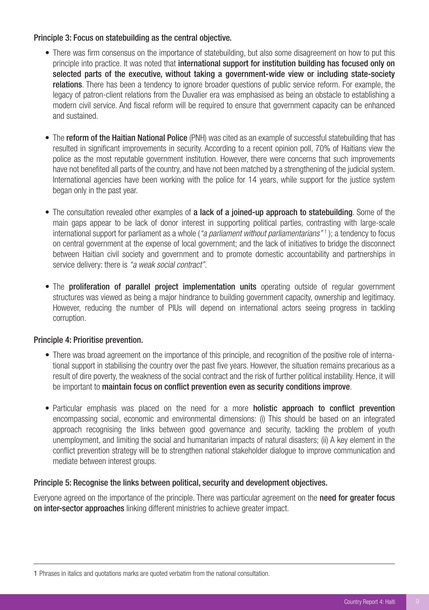### Principle 3: Focus on statebuilding as the central objective.

- There was firm consensus on the importance of statebuilding, but also some disagreement on how to put this principle into practice. It was noted that international support for institution building has focused only on selected parts of the executive, without taking a government-wide view or including state-society relations. There has been a tendency to ignore broader questions of public service reform. For example, the legacy of patron-client relations from the Duvalier era was emphasised as being an obstacle to establishing a modern civil service. And fiscal reform will be required to ensure that government capacity can be enhanced and sustained.
- The reform of the Haitian National Police (PNH) was cited as an example of successful statebuilding that has resulted in significant improvements in security. According to a recent opinion poll, 70% of Haitians view the police as the most reputable government institution. However, there were concerns that such improvements have not benefited all parts of the country, and have not been matched by a strengthening of the judicial system. International agencies have been working with the police for 14 years, while support for the justice system began only in the past year.
- The consultation revealed other examples of a lack of a joined-up approach to statebuilding. Some of the main gaps appear to be lack of donor interest in supporting political parties, contrasting with large-scale international support for parliament as a whole ("*a parliament without parliamentarians"*<sup>1</sup>); a tendency to focus on central government at the expense of local government; and the lack of initiatives to bridge the disconnect between Haitian civil society and government and to promote domestic accountability and partnerships in service delivery: there is *"a weak social contract"*.
- The proliferation of parallel project implementation units operating outside of regular government structures was viewed as being a major hindrance to building government capacity, ownership and legitimacy. However, reducing the number of PIUs will depend on international actors seeing progress in tackling corruption.

### Principle 4: Prioritise prevention.

- There was broad agreement on the importance of this principle, and recognition of the positive role of international support in stabilising the country over the past five years. However, the situation remains precarious as a result of dire poverty, the weakness of the social contract and the risk of further political instability. Hence, it will be important to maintain focus on conflict prevention even as security conditions improve.
- Particular emphasis was placed on the need for a more **holistic approach to conflict prevention** encompassing social, economic and environmental dimensions: (i) This should be based on an integrated approach recognising the links between good governance and security, tackling the problem of youth unemployment, and limiting the social and humanitarian impacts of natural disasters; (ii) A key element in the conflict prevention strategy will be to strengthen national stakeholder dialogue to improve communication and mediate between interest groups.

### Principle 5: Recognise the links between political, security and development objectives.

Everyone agreed on the importance of the principle. There was particular agreement on the **need for greater focus** on inter-sector approaches linking different ministries to achieve greater impact.

<sup>1</sup> Phrases in italics and quotations marks are quoted verbatim from the national consultation.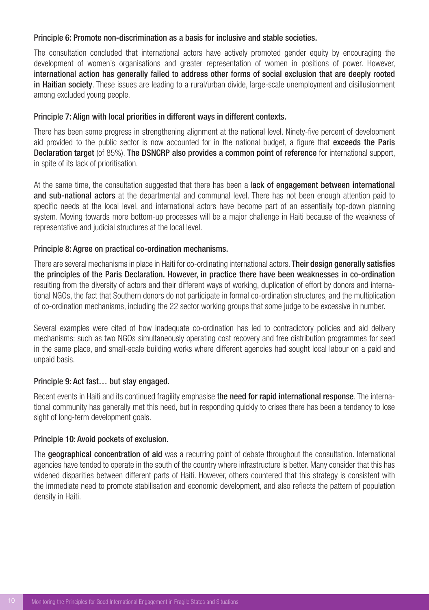### Principle 6: Promote non-discrimination as a basis for inclusive and stable societies.

The consultation concluded that international actors have actively promoted gender equity by encouraging the development of women's organisations and greater representation of women in positions of power. However, international action has generally failed to address other forms of social exclusion that are deeply rooted in Haitian society. These issues are leading to a rural/urban divide, large-scale unemployment and disillusionment among excluded young people.

### Principle 7: Align with local priorities in different ways in different contexts.

There has been some progress in strengthening alignment at the national level. Ninety-five percent of development aid provided to the public sector is now accounted for in the national budget, a figure that exceeds the Paris Declaration target (of 85%). The DSNCRP also provides a common point of reference for international support, in spite of its lack of prioritisation.

At the same time, the consultation suggested that there has been a lack of engagement between international and sub-national actors at the departmental and communal level. There has not been enough attention paid to specific needs at the local level, and international actors have become part of an essentially top-down planning system. Moving towards more bottom-up processes will be a major challenge in Haiti because of the weakness of representative and judicial structures at the local level.

### Principle 8: Agree on practical co-ordination mechanisms.

There are several mechanisms in place in Haiti for co-ordinating international actors. Their design generally satisfies the principles of the Paris Declaration. However, in practice there have been weaknesses in co-ordination resulting from the diversity of actors and their different ways of working, duplication of effort by donors and international NGOs, the fact that Southern donors do not participate in formal co-ordination structures, and the multiplication of co-ordination mechanisms, including the 22 sector working groups that some judge to be excessive in number.

Several examples were cited of how inadequate co-ordination has led to contradictory policies and aid delivery mechanisms: such as two NGOs simultaneously operating cost recovery and free distribution programmes for seed in the same place, and small-scale building works where different agencies had sought local labour on a paid and unpaid basis.

### Principle 9: Act fast… but stay engaged.

Recent events in Haiti and its continued fragility emphasise the need for rapid international response. The international community has generally met this need, but in responding quickly to crises there has been a tendency to lose sight of long-term development goals.

### Principle 10: Avoid pockets of exclusion.

The **geographical concentration of aid** was a recurring point of debate throughout the consultation. International agencies have tended to operate in the south of the country where infrastructure is better. Many consider that this has widened disparities between different parts of Haiti. However, others countered that this strategy is consistent with the immediate need to promote stabilisation and economic development, and also reflects the pattern of population density in Haiti.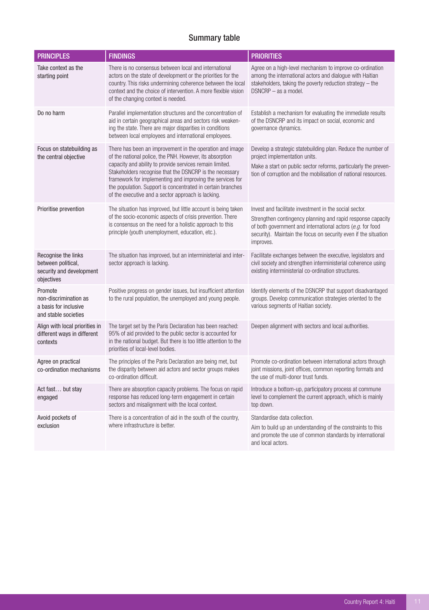### Summary table

| <b>PRINCIPLES</b>                                                                   | <b>FINDINGS</b>                                                                                                                                                                                                                                                                                                                                                                                                               | <b>PRIORITIES</b>                                                                                                                                                                                                                                                   |
|-------------------------------------------------------------------------------------|-------------------------------------------------------------------------------------------------------------------------------------------------------------------------------------------------------------------------------------------------------------------------------------------------------------------------------------------------------------------------------------------------------------------------------|---------------------------------------------------------------------------------------------------------------------------------------------------------------------------------------------------------------------------------------------------------------------|
| Take context as the<br>starting point                                               | There is no consensus between local and international<br>actors on the state of development or the priorities for the<br>country. This risks undermining coherence between the local<br>context and the choice of intervention. A more flexible vision<br>of the changing context is needed.                                                                                                                                  | Agree on a high-level mechanism to improve co-ordination<br>among the international actors and dialogue with Haitian<br>stakeholders, taking the poverty reduction strategy - the<br>$DSNCRP - as a model.$                                                         |
| Do no harm                                                                          | Parallel implementation structures and the concentration of<br>aid in certain geographical areas and sectors risk weaken-<br>ing the state. There are major disparities in conditions<br>between local employees and international employees.                                                                                                                                                                                 | Establish a mechanism for evaluating the immediate results<br>of the DSNCRP and its impact on social, economic and<br>governance dynamics.                                                                                                                          |
| Focus on statebuilding as<br>the central objective                                  | There has been an improvement in the operation and image<br>of the national police, the PNH. However, its absorption<br>capacity and ability to provide services remain limited.<br>Stakeholders recognise that the DSNCRP is the necessary<br>framework for implementing and improving the services for<br>the population. Support is concentrated in certain branches<br>of the executive and a sector approach is lacking. | Develop a strategic statebuilding plan. Reduce the number of<br>project implementation units.<br>Make a start on public sector reforms, particularly the preven-<br>tion of corruption and the mobilisation of national resources.                                  |
| Prioritise prevention                                                               | The situation has improved, but little account is being taken<br>of the socio-economic aspects of crisis prevention. There<br>is consensus on the need for a holistic approach to this<br>principle (youth unemployment, education, etc.).                                                                                                                                                                                    | Invest and facilitate investment in the social sector.<br>Strengthen contingency planning and rapid response capacity<br>of both government and international actors (e.g. for food<br>security). Maintain the focus on security even if the situation<br>improves. |
| Recognise the links<br>between political,<br>security and development<br>objectives | The situation has improved, but an interministerial and inter-<br>sector approach is lacking.                                                                                                                                                                                                                                                                                                                                 | Facilitate exchanges between the executive, legislators and<br>civil society and strengthen interministerial coherence using<br>existing interministerial co-ordination structures.                                                                                 |
| Promote<br>non-discrimination as<br>a basis for inclusive<br>and stable societies   | Positive progress on gender issues, but insufficient attention<br>to the rural population, the unemployed and young people.                                                                                                                                                                                                                                                                                                   | Identify elements of the DSNCRP that support disadvantaged<br>groups. Develop communication strategies oriented to the<br>various segments of Haitian society.                                                                                                      |
| Align with local priorities in<br>different ways in different<br>contexts           | The target set by the Paris Declaration has been reached:<br>95% of aid provided to the public sector is accounted for<br>in the national budget. But there is too little attention to the<br>priorities of local-level bodies.                                                                                                                                                                                               | Deepen alignment with sectors and local authorities.                                                                                                                                                                                                                |
| Agree on practical<br>co-ordination mechanisms                                      | The principles of the Paris Declaration are being met, but<br>the disparity between aid actors and sector groups makes<br>co-ordination difficult.                                                                                                                                                                                                                                                                            | Promote co-ordination between international actors through<br>joint missions, joint offices, common reporting formats and<br>the use of multi-donor trust funds.                                                                                                    |
| Act fast but stay<br>engaged                                                        | There are absorption capacity problems. The focus on rapid<br>response has reduced long-term engagement in certain<br>sectors and misalignment with the local context.                                                                                                                                                                                                                                                        | Introduce a bottom-up, participatory process at commune<br>level to complement the current approach, which is mainly<br>top down.                                                                                                                                   |
| Avoid pockets of<br>exclusion                                                       | There is a concentration of aid in the south of the country,<br>where infrastructure is better.                                                                                                                                                                                                                                                                                                                               | Standardise data collection.<br>Aim to build up an understanding of the constraints to this<br>and promote the use of common standards by international<br>and local actors.                                                                                        |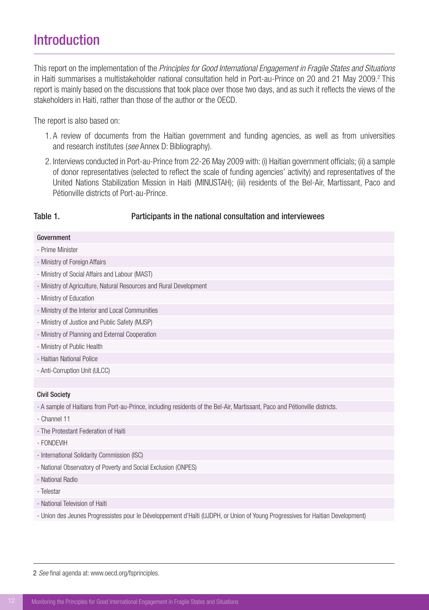# Introduction

This report on the implementation of the *Principles for Good International Engagement in Fragile States and Situations*  in Haiti summarises a multistakeholder national consultation held in Port-au-Prince on 20 and 21 May 2009.<sup>2</sup> This report is mainly based on the discussions that took place over those two days, and as such it reflects the views of the stakeholders in Haiti, rather than those of the author or the OECD.

The report is also based on:

- 1. A review of documents from the Haitian government and funding agencies, as well as from universities and research institutes (*see* Annex D: Bibliography).
- 2. Interviews conducted in Port-au-Prince from 22-26 May 2009 with: (i) Haitian government officials; (ii) a sample of donor representatives (selected to reflect the scale of funding agencies' activity) and representatives of the United Nations Stabilization Mission in Haiti (MINUSTAH); (iii) residents of the Bel-Air, Martissant, Paco and Pétionville districts of Port-au-Prince.

### Table 1. Participants in the national consultation and interviewees

| Government                                                                                                                     |
|--------------------------------------------------------------------------------------------------------------------------------|
| - Prime Minister                                                                                                               |
| - Ministry of Foreign Affairs                                                                                                  |
| - Ministry of Social Affairs and Labour (MAST)                                                                                 |
| - Ministry of Agriculture, Natural Resources and Rural Development                                                             |
| - Ministry of Education                                                                                                        |
| - Ministry of the Interior and Local Communities                                                                               |
| - Ministry of Justice and Public Safety (MJSP)                                                                                 |
| - Ministry of Planning and External Cooperation                                                                                |
| - Ministry of Public Health                                                                                                    |
| - Haitian National Police                                                                                                      |
| - Anti-Corruption Unit (ULCC)                                                                                                  |
|                                                                                                                                |
| <b>Civil Society</b>                                                                                                           |
| - A sample of Haitians from Port-au-Prince, including residents of the Bel-Air, Martissant, Paco and Pétionville districts.    |
| - Channel 11                                                                                                                   |
| - The Protestant Federation of Haiti                                                                                           |
| - FONDEVIH                                                                                                                     |
| - International Solidarity Commission (ISC)                                                                                    |
| - National Observatory of Poverty and Social Exclusion (ONPES)                                                                 |
| - National Radio                                                                                                               |
| - Telestar                                                                                                                     |
| - National Television of Haiti                                                                                                 |
| - Union des Jeunes Progressistes pour le Développement d'Haïti (UJDPH, or Union of Young Progressives for Haitian Development) |

2 *See* final agenda at: www.oecd.org/fsprinciples.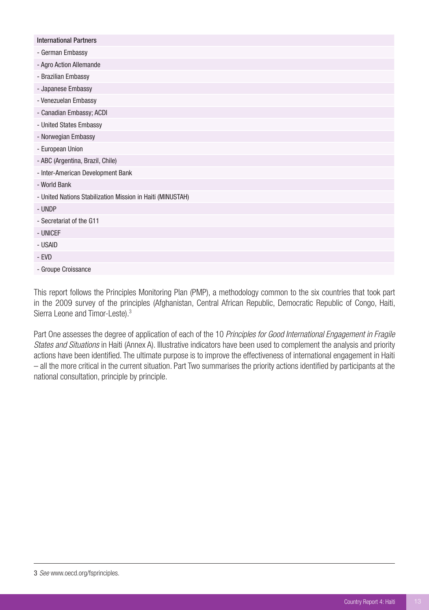| <b>International Partners</b>                              |
|------------------------------------------------------------|
| - German Embassy                                           |
| - Agro Action Allemande                                    |
| - Brazilian Embassy                                        |
| - Japanese Embassy                                         |
| - Venezuelan Embassy                                       |
| - Canadian Embassy; ACDI                                   |
| - United States Embassy                                    |
| - Norwegian Embassy                                        |
| - European Union                                           |
| - ABC (Argentina, Brazil, Chile)                           |
| - Inter-American Development Bank                          |
| - World Bank                                               |
| - United Nations Stabilization Mission in Haiti (MINUSTAH) |
| - UNDP                                                     |
| - Secretariat of the G11                                   |
| - UNICEF                                                   |
| - USAID                                                    |
| - EVD                                                      |
| - Groupe Croissance                                        |

This report follows the Principles Monitoring Plan (PMP), a methodology common to the six countries that took part in the 2009 survey of the principles (Afghanistan, Central African Republic, Democratic Republic of Congo, Haiti, Sierra Leone and Timor-Leste).3

Part One assesses the degree of application of each of the 10 *Principles for Good International Engagement in Fragile States and Situations* in Haiti (Annex A). Illustrative indicators have been used to complement the analysis and priority actions have been identified. The ultimate purpose is to improve the effectiveness of international engagement in Haiti – all the more critical in the current situation. Part Two summarises the priority actions identified by participants at the national consultation, principle by principle.

<sup>3</sup> *See* www.oecd.org/fsprinciples.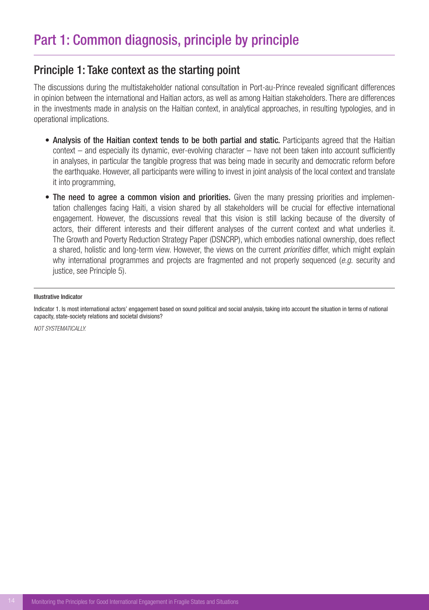### Principle 1: Take context as the starting point

The discussions during the multistakeholder national consultation in Port-au-Prince revealed significant differences in opinion between the international and Haitian actors, as well as among Haitian stakeholders. There are differences in the investments made in analysis on the Haitian context, in analytical approaches, in resulting typologies, and in operational implications.

- Analysis of the Haitian context tends to be both partial and static. Participants agreed that the Haitian context – and especially its dynamic, ever-evolving character – have not been taken into account sufficiently in analyses, in particular the tangible progress that was being made in security and democratic reform before the earthquake. However, all participants were willing to invest in joint analysis of the local context and translate it into programming,
- The need to agree a common vision and priorities. Given the many pressing priorities and implementation challenges facing Haiti, a vision shared by all stakeholders will be crucial for effective international engagement. However, the discussions reveal that this vision is still lacking because of the diversity of actors, their different interests and their different analyses of the current context and what underlies it. The Growth and Poverty Reduction Strategy Paper (DSNCRP), which embodies national ownership, does reflect a shared, holistic and long-term view. However, the views on the current *priorities* differ, which might explain why international programmes and projects are fragmented and not properly sequenced (*e.g.* security and justice, see Principle 5).

#### Illustrative Indicator

Indicator 1. Is most international actors' engagement based on sound political and social analysis, taking into account the situation in terms of national capacity, state-society relations and societal divisions?

*Not systematically.*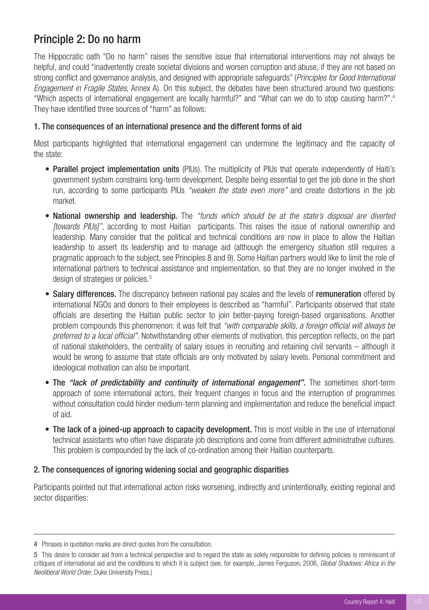### Principle 2: Do no harm

The Hippocratic oath "Do no harm" raises the sensitive issue that international interventions may not always be helpful, and could "inadvertently create societal divisions and worsen corruption and abuse, if they are not based on strong conflict and governance analysis, and designed with appropriate safeguards" (*Principles for Good International Engagement in Fragile States*, Annex A). On this subject, the debates have been structured around two questions: "Which aspects of international engagement are locally harmful?" and "What can we do to stop causing harm?".4 They have identified three sources of "harm" as follows:

### 1. The consequences of an international presence and the different forms of aid

Most participants highlighted that international engagement can undermine the legitimacy and the capacity of the state:

- Parallel project implementation units (PIUs). The multiplicity of PIUs that operate independently of Haiti's government system constrains long-term development. Despite being essential to get the job done in the short run, according to some participants PIUs *"weaken the state even more"* and create distortions in the job market.
- • National ownership and leadership. The *"funds which should be at the state's disposal are diverted [towards PIUs]"*, according to most Haitian participants. This raises the issue of national ownership and leadership. Many consider that the political and technical conditions are now in place to allow the Haitian leadership to assert its leadership and to manage aid (although the emergency situation still requires a pragmatic approach to the subject, see Principles 8 and 9). Some Haitian partners would like to limit the role of international partners to technical assistance and implementation, so that they are no longer involved in the design of strategies or policies.<sup>5</sup>
- Salary differences. The discrepancy between national pay scales and the levels of remuneration offered by international NGOs and donors to their employees is described as "harmful". Participants observed that state officials are deserting the Haitian public sector to join better-paying foreign-based organisations. Another problem compounds this phenomenon: it was felt that *"with comparable skills, a foreign official will always be preferred to a local official"*. Notwithstanding other elements of motivation, this perception reflects, on the part of national stakeholders, the centrality of salary issues in recruiting and retaining civil servants – although it would be wrong to assume that state officials are only motivated by salary levels. Personal commitment and ideological motivation can also be important.
- The *"lack of predictability and continuity of international engagement"*. The sometimes short-term approach of some international actors, their frequent changes in focus and the interruption of programmes without consultation could hinder medium-term planning and implementation and reduce the beneficial impact of aid.
- The lack of a joined-up approach to capacity development. This is most visible in the use of international technical assistants who often have disparate job descriptions and come from different administrative cultures. This problem is compounded by the lack of co-ordination among their Haitian counterparts.

### 2. The consequences of ignoring widening social and geographic disparities

Participants pointed out that international action risks worsening, indirectly and unintentionally, existing regional and sector disparities:

<sup>4</sup> Phrases in quotation marks are direct quotes from the consultation.

<sup>5</sup> This desire to consider aid from a technical perspective and to regard the state as solely responsible for defining policies is reminiscent of critiques of international aid and the conditions to which it is subject (see, for example, James Ferguson, 2006, *Global Shadows: Africa in the Neoliberal World Order*, Duke University Press.)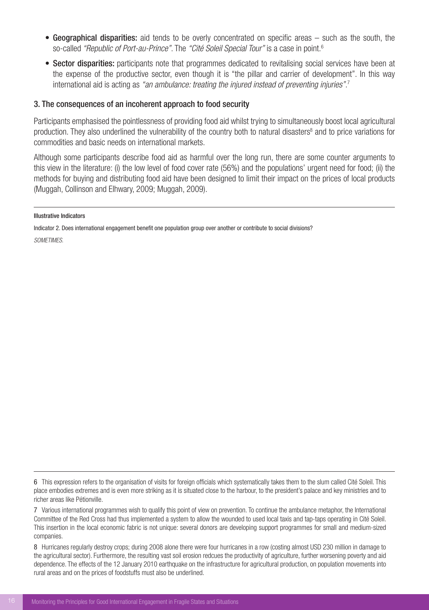- Geographical disparities: aid tends to be overly concentrated on specific areas such as the south, the so-called "Republic of Port-au-Prince". The "Cité Soleil Special Tour" is a case in point.<sup>6</sup>
- Sector disparities: participants note that programmes dedicated to revitalising social services have been at the expense of the productive sector, even though it is "the pillar and carrier of development". In this way international aid is acting as *"an ambulance: treating the injured instead of preventing injuries"*. 7

### 3. The consequences of an incoherent approach to food security

Participants emphasised the pointlessness of providing food aid whilst trying to simultaneously boost local agricultural production. They also underlined the vulnerability of the country both to natural disasters<sup>8</sup> and to price variations for commodities and basic needs on international markets.

Although some participants describe food aid as harmful over the long run, there are some counter arguments to this view in the literature: (i) the low level of food cover rate (56%) and the populations' urgent need for food; (ii) the methods for buying and distributing food aid have been designed to limit their impact on the prices of local products (Muggah, Collinson and Elhwary, 2009; Muggah, 2009).

#### Illustrative Indicators

Indicator 2. Does international engagement benefit one population group over another or contribute to social divisions?

*SOMETIMES.*

<sup>6</sup> This expression refers to the organisation of visits for foreign officials which systematically takes them to the slum called Cité Soleil. This place embodies extremes and is even more striking as it is situated close to the harbour, to the president's palace and key ministries and to richer areas like Pétionville.

<sup>7</sup> Various international programmes wish to qualify this point of view on prevention. To continue the ambulance metaphor, the International Committee of the Red Cross had thus implemented a system to allow the wounded to used local taxis and tap-taps operating in Cité Soleil. This insertion in the local economic fabric is not unique: several donors are developing support programmes for small and medium-sized companies.

<sup>8</sup> Hurricanes regularly destroy crops; during 2008 alone there were four hurricanes in a row (costing almost USD 230 million in damage to the agricultural sector). Furthermore, the resulting vast soil erosion redcues the productivity of agriculture, further worsening poverty and aid dependence. The effects of the 12 January 2010 earthquake on the infrastructure for agricultural production, on population movements into rural areas and on the prices of foodstuffs must also be underlined.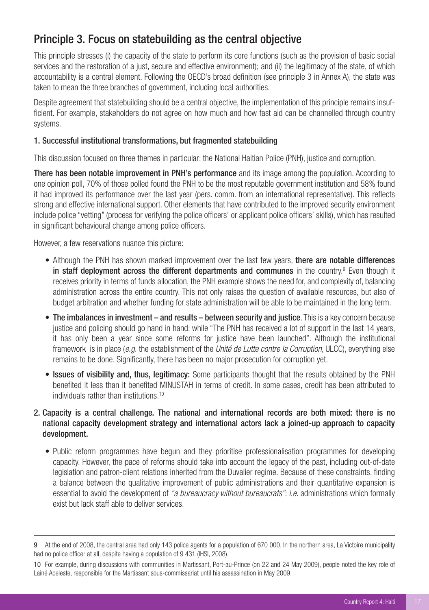### Principle 3. Focus on statebuilding as the central objective

This principle stresses (i) the capacity of the state to perform its core functions (such as the provision of basic social services and the restoration of a just, secure and effective environment); and (ii) the legitimacy of the state, of which accountability is a central element. Following the OECD's broad definition (see principle 3 in Annex A), the state was taken to mean the three branches of government, including local authorities.

Despite agreement that statebuilding should be a central objective, the implementation of this principle remains insufficient. For example, stakeholders do not agree on how much and how fast aid can be channelled through country systems.

### 1. Successful institutional transformations, but fragmented statebuilding

This discussion focused on three themes in particular: the National Haitian Police (PNH), justice and corruption.

There has been notable improvement in PNH's performance and its image among the population. According to one opinion poll, 70% of those polled found the PNH to be the most reputable government institution and 58% found it had improved its performance over the last year (pers. comm. from an international representative). This reflects strong and effective international support. Other elements that have contributed to the improved security environment include police "vetting" (process for verifying the police officers' or applicant police officers' skills), which has resulted in significant behavioural change among police officers.

However, a few reservations nuance this picture:

- Although the PNH has shown marked improvement over the last few years, there are notable differences in staff deployment across the different departments and communes in the country.<sup>9</sup> Even though it receives priority in terms of funds allocation, the PNH example shows the need for, and complexity of, balancing administration across the entire country. This not only raises the question of available resources, but also of budget arbitration and whether funding for state administration will be able to be maintained in the long term.
- The imbalances in investment and results between security and justice. This is a key concern because justice and policing should go hand in hand: while "The PNH has received a lot of support in the last 14 years, it has only been a year since some reforms for justice have been launched". Although the institutional framework is in place (*e.g.* the establishment of the *Unité de Lutte contre la Corruption*, ULCC), everything else remains to be done. Significantly, there has been no major prosecution for corruption yet.
- Issues of visibility and, thus, legitimacy: Some participants thought that the results obtained by the PNH benefited it less than it benefited MINUSTAH in terms of credit. In some cases, credit has been attributed to individuals rather than institutions.10
- 2. Capacity is a central challenge. The national and international records are both mixed: there is no national capacity development strategy and international actors lack a joined-up approach to capacity development.
	- Public reform programmes have begun and they prioritise professionalisation programmes for developing capacity. However, the pace of reforms should take into account the legacy of the past, including out-of-date legislation and patron-client relations inherited from the Duvalier regime. Because of these constraints, finding a balance between the qualitative improvement of public administrations and their quantitative expansion is essential to avoid the development of "a bureaucracy without bureaucrats": *i.e.* administrations which formally exist but lack staff able to deliver services.

<sup>9</sup> At the end of 2008, the central area had only 143 police agents for a population of 670 000. In the northern area, La Victoire municipality had no police officer at all, despite having a population of 9 431 (IHSI, 2008).

<sup>10</sup> For example, during discussions with communities in Martissant, Port-au-Prince (on 22 and 24 May 2009), people noted the key role of Lainé Aceleste, responsible for the Martissant sous-commissariat until his assassination in May 2009.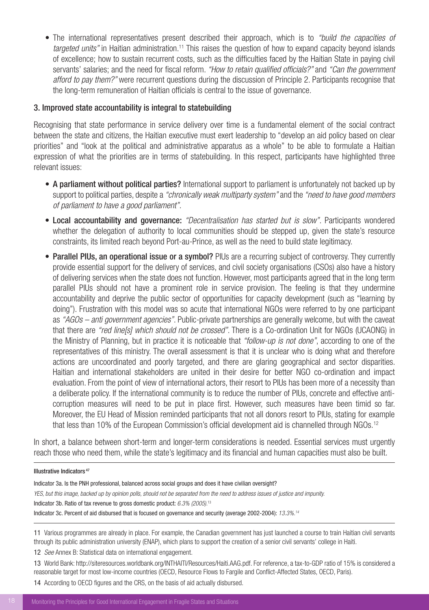• The international representatives present described their approach, which is to *"build the capacities of targeted units"* in Haitian administration.11 This raises the question of how to expand capacity beyond islands of excellence; how to sustain recurrent costs, such as the difficulties faced by the Haitian State in paying civil servants' salaries; and the need for fiscal reform. *"How to retain qualified officials?"* and *"Can the government afford to pay them?"* were recurrent questions during the discussion of Principle 2. Participants recognise that the long-term remuneration of Haitian officials is central to the issue of governance.

### 3. Improved state accountability is integral to statebuilding

Recognising that state performance in service delivery over time is a fundamental element of the social contract between the state and citizens, the Haitian executive must exert leadership to "develop an aid policy based on clear priorities" and "look at the political and administrative apparatus as a whole" to be able to formulate a Haitian expression of what the priorities are in terms of statebuilding. In this respect, participants have highlighted three relevant issues:

- A parliament without political parties? International support to parliament is unfortunately not backed up by support to political parties, despite a *"chronically weak multiparty system"* and the *"need to have good members of parliament to have a good parliament"*.
- • Local accountability and governance: *"Decentralisation has started but is slow"*. Participants wondered whether the delegation of authority to local communities should be stepped up, given the state's resource constraints, its limited reach beyond Port-au-Prince, as well as the need to build state legitimacy.
- Parallel PIUs, an operational issue or a symbol? PIUs are a recurring subject of controversy. They currently provide essential support for the delivery of services, and civil society organisations (CSOs) also have a history of delivering services when the state does not function. However, most participants agreed that in the long term parallel PIUs should not have a prominent role in service provision. The feeling is that they undermine accountability and deprive the public sector of opportunities for capacity development (such as "learning by doing"). Frustration with this model was so acute that international NGOs were referred to by one participant as *"AGOs – anti government agencies"*. Public-private partnerships are generally welcome, but with the caveat that there are *"red line[s] which should not be crossed"*. There is a Co-ordination Unit for NGOs (UCAONG) in the Ministry of Planning, but in practice it is noticeable that *"follow-up is not done"*, according to one of the representatives of this ministry. The overall assessment is that it is unclear who is doing what and therefore actions are uncoordinated and poorly targeted, and there are glaring geographical and sector disparities. Haitian and international stakeholders are united in their desire for better NGO co-ordination and impact evaluation. From the point of view of international actors, their resort to PIUs has been more of a necessity than a deliberate policy. If the international community is to reduce the number of PIUs, concrete and effective anticorruption measures will need to be put in place first. However, such measures have been timid so far. Moreover, the EU Head of Mission reminded participants that not all donors resort to PIUs, stating for example that less than 10% of the European Commission's official development aid is channelled through NGOs.<sup>12</sup>

In short, a balance between short-term and longer-term considerations is needed. Essential services must urgently reach those who need them, while the state's legitimacy and its financial and human capacities must also be built.

#### Illustrative Indicators 47

Indicator 3a. Is the PNH professional, balanced across social groups and does it have civilian oversight? *YES, but this image, backed up by opinion polls, should not be separated from the need to address issues of justice and impunity.* Indicator 3b. Ratio of tax revenue to gross domestic product: *6.3% (2005).*<sup>13</sup> Indicator 3c. Percent of aid disbursed that is focused on governance and security (average 2002-2004): *13.3%.14*

11 Various programmes are already in place. For example, the Canadian government has just launched a course to train Haitian civil servants through its public administration university (ENAP), which plans to support the creation of a senior civil servants' college in Haiti.

12 *See* Annex B: Statistical data on international engagement.

13 World Bank: http://siteresources.worldbank.org/INTHAITI/Resources/Haiti.AAG.pdf. For reference, a tax-to-GDP ratio of 15% is considered a reasonable target for most low-income countries (OECD, Resource Flows to Fargile and Conflict-Affected States, OECD, Paris).

14 According to OECD figures and the CRS, on the basis of aid actually disbursed.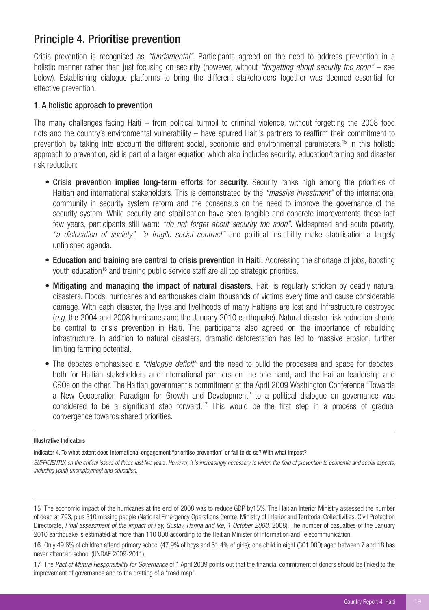### Principle 4. Prioritise prevention

Crisis prevention is recognised as *"fundamental"*. Participants agreed on the need to address prevention in a holistic manner rather than just focusing on security (however, without *"forgetting about security too soon"* – see below). Establishing dialogue platforms to bring the different stakeholders together was deemed essential for effective prevention.

### 1. A holistic approach to prevention

The many challenges facing Haiti – from political turmoil to criminal violence, without forgetting the 2008 food riots and the country's environmental vulnerability – have spurred Haiti's partners to reaffirm their commitment to prevention by taking into account the different social, economic and environmental parameters.15 In this holistic approach to prevention, aid is part of a larger equation which also includes security, education/training and disaster risk reduction:

- Crisis prevention implies long-term efforts for security. Security ranks high among the priorities of Haitian and international stakeholders. This is demonstrated by the *"massive investment"* of the international community in security system reform and the consensus on the need to improve the governance of the security system. While security and stabilisation have seen tangible and concrete improvements these last few years, participants still warn: *"do not forget about security too soon"*. Widespread and acute poverty, *"a dislocation of society"*, *"a fragile social contract"* and political instability make stabilisation a largely unfinished agenda.
- Education and training are central to crisis prevention in Haiti. Addressing the shortage of jobs, boosting youth education<sup>16</sup> and training public service staff are all top strategic priorities.
- Mitigating and managing the impact of natural disasters. Haiti is regularly stricken by deadly natural disasters. Floods, hurricanes and earthquakes claim thousands of victims every time and cause considerable damage. With each disaster, the lives and livelihoods of many Haitians are lost and infrastructure destroyed (*e.g.* the 2004 and 2008 hurricanes and the January 2010 earthquake). Natural disaster risk reduction should be central to crisis prevention in Haiti. The participants also agreed on the importance of rebuilding infrastructure. In addition to natural disasters, dramatic deforestation has led to massive erosion, further limiting farming potential.
- The debates emphasised a *"dialogue deficit"* and the need to build the processes and space for debates, both for Haitian stakeholders and international partners on the one hand, and the Haitian leadership and CSOs on the other. The Haitian government's commitment at the April 2009 Washington Conference "Towards a New Cooperation Paradigm for Growth and Development" to a political dialogue on governance was considered to be a significant step forward.<sup>17</sup> This would be the first step in a process of gradual convergence towards shared priorities.

#### Illustrative Indicators

Indicator 4. To what extent does international engagement "prioritise prevention" or fail to do so? With what impact?

*SUFFICIENTLY, on the critical issues of these last five years. However, it is increasingly necessary to widen the field of prevention to economic and social aspects, including youth unemployment and education.*

15 The economic impact of the hurricanes at the end of 2008 was to reduce GDP by15%. The Haitian Interior Ministry assessed the number of dead at 793, plus 310 missing people (National Emergency Operations Centre, Ministry of Interior and Territorial Collectivities, Civil Protection Directorate, *Final assessment of the impact of Fay, Gustav, Hanna and Ike, 1 October 2008,* 2008). The number of casualties of the January 2010 earthquake is estimated at more than 110 000 according to the Haitian Minister of Information and Telecommunication.

16 Only 49.6% of children attend primary school (47.9% of boys and 51.4% of girls); one child in eight (301 000) aged between 7 and 18 has never attended school (UNDAF 2009-2011).

17 The *Pact of Mutual Responsibility for Governance* of 1 April 2009 points out that the financial commitment of donors should be linked to the improvement of governance and to the drafting of a "road map".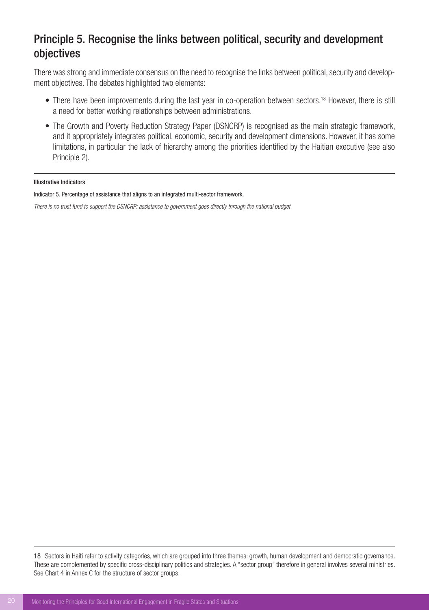### Principle 5. Recognise the links between political, security and development objectives

There was strong and immediate consensus on the need to recognise the links between political, security and development objectives. The debates highlighted two elements:

- There have been improvements during the last year in co-operation between sectors.<sup>18</sup> However, there is still a need for better working relationships between administrations.
- The Growth and Poverty Reduction Strategy Paper (DSNCRP) is recognised as the main strategic framework, and it appropriately integrates political, economic, security and development dimensions. However, it has some limitations, in particular the lack of hierarchy among the priorities identified by the Haitian executive (see also Principle 2).

#### Illustrative Indicators

Indicator 5. Percentage of assistance that aligns to an integrated multi-sector framework.

*There is no trust fund to support the DSNCRP: assistance to government goes directly through the national budget.* 

<sup>18</sup> Sectors in Haiti refer to activity categories, which are grouped into three themes: growth, human development and democratic governance. These are complemented by specific cross-disciplinary politics and strategies. A "sector group" therefore in general involves several ministries. See Chart 4 in Annex C for the structure of sector groups.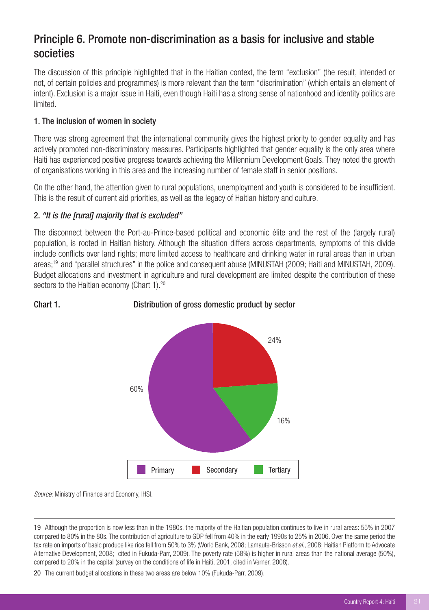### Principle 6. Promote non-discrimination as a basis for inclusive and stable societies

The discussion of this principle highlighted that in the Haitian context, the term "exclusion" (the result, intended or not, of certain policies and programmes) is more relevant than the term "discrimination" (which entails an element of intent). Exclusion is a major issue in Haiti, even though Haiti has a strong sense of nationhood and identity politics are limited.

### 1. The inclusion of women in society

There was strong agreement that the international community gives the highest priority to gender equality and has actively promoted non-discriminatory measures. Participants highlighted that gender equality is the only area where Haiti has experienced positive progress towards achieving the Millennium Development Goals. They noted the growth of organisations working in this area and the increasing number of female staff in senior positions.

On the other hand, the attention given to rural populations, unemployment and youth is considered to be insufficient. This is the result of current aid priorities, as well as the legacy of Haitian history and culture.

### 2. *"It is the [rural] majority that is excluded"*

The disconnect between the Port-au-Prince-based political and economic élite and the rest of the (largely rural) population, is rooted in Haitian history. Although the situation differs across departments, symptoms of this divide include conflicts over land rights; more limited access to healthcare and drinking water in rural areas than in urban areas;19 and "parallel structures" in the police and consequent abuse (MINUSTAH (2009; Haiti and MINUSTAH, 2009). Budget allocations and investment in agriculture and rural development are limited despite the contribution of these sectors to the Haitian economy (Chart 1).<sup>20</sup>



### Chart 1. Distribution of gross domestic product by sector

*Source:* Ministry of Finance and Economy, IHSI.

<sup>19</sup> Although the proportion is now less than in the 1980s, the majority of the Haitian population continues to live in rural areas: 55% in 2007 compared to 80% in the 80s. The contribution of agriculture to GDP fell from 40% in the early 1990s to 25% in 2006. Over the same period the tax rate on imports of basic produce like rice fell from 50% to 3% (World Bank, 2008; Lamaute-Brisson *et al.*, 2008; Haitian Platform to Advocate Alternative Development, 2008; cited in Fukuda-Parr, 2009). The poverty rate (58%) is higher in rural areas than the national average (50%), compared to 20% in the capital (survey on the conditions of life in Haiti, 2001, cited in Verner, 2008).

<sup>20</sup> The current budget allocations in these two areas are below 10% (Fukuda-Parr, 2009).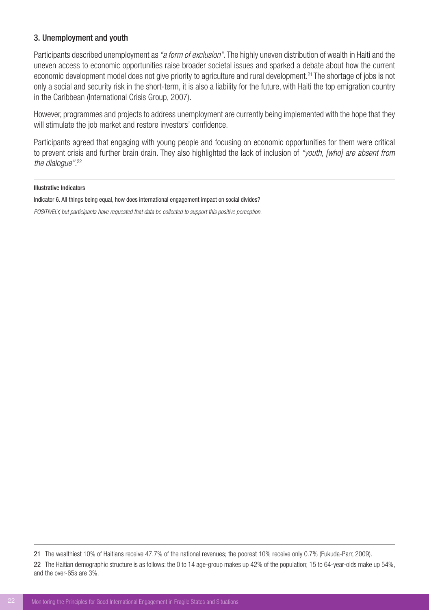### 3. Unemployment and youth

Participants described unemployment as *"a form of exclusion"*. The highly uneven distribution of wealth in Haiti and the uneven access to economic opportunities raise broader societal issues and sparked a debate about how the current economic development model does not give priority to agriculture and rural development.<sup>21</sup> The shortage of jobs is not only a social and security risk in the short-term, it is also a liability for the future, with Haiti the top emigration country in the Caribbean (International Crisis Group, 2007).

However, programmes and projects to address unemployment are currently being implemented with the hope that they will stimulate the job market and restore investors' confidence.

Participants agreed that engaging with young people and focusing on economic opportunities for them were critical to prevent crisis and further brain drain. They also highlighted the lack of inclusion of *"youth, [who] are absent from the dialogue"*. 22

#### Illustrative Indicators

Indicator 6. All things being equal, how does international engagement impact on social divides?

*POSITIVELY, but participants have requested that data be collected to support this positive perception.*

<sup>21</sup> The wealthiest 10% of Haitians receive 47.7% of the national revenues; the poorest 10% receive only 0.7% (Fukuda-Parr, 2009).

<sup>22</sup> The Haitian demographic structure is as follows: the 0 to 14 age-group makes up 42% of the population; 15 to 64-year-olds make up 54%, and the over-65s are 3%.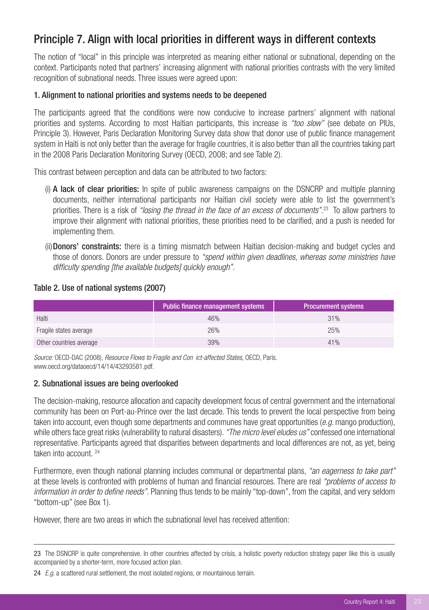### Principle 7. Align with local priorities in different ways in different contexts

The notion of "local" in this principle was interpreted as meaning either national or subnational, depending on the context. Participants noted that partners' increasing alignment with national priorities contrasts with the very limited recognition of subnational needs. Three issues were agreed upon:

### 1. Alignment to national priorities and systems needs to be deepened

The participants agreed that the conditions were now conducive to increase partners' alignment with national priorities and systems. According to most Haitian participants, this increase is *"too slow"* (see debate on PIUs, Principle 3). However, Paris Declaration Monitoring Survey data show that donor use of public finance management system in Haiti is not only better than the average for fragile countries, it is also better than all the countries taking part in the 2008 Paris Declaration Monitoring Survey (OECD, 2008; and see Table 2).

This contrast between perception and data can be attributed to two factors:

- (i) A lack of clear priorities: In spite of public awareness campaigns on the DSNCRP and multiple planning documents, neither international participants nor Haitian civil society were able to list the government's priorities. There is a risk of *"losing the thread in the face of an excess of documents"*. 23 To allow partners to improve their alignment with national priorities, these priorities need to be clarified, and a push is needed for implementing them.
- (ii) **Donors' constraints:** there is a timing mismatch between Haitian decision-making and budget cycles and those of donors. Donors are under pressure to *"spend within given deadlines, whereas some ministries have difficulty spending [the available budgets] quickly enough"*.

### Table 2. Use of national systems (2007)

|                         | Public finance management systems | <b>Procurement systems</b> |
|-------------------------|-----------------------------------|----------------------------|
| Haïti                   | 46%                               | 31%                        |
| Fragile states average  | 26%                               | 25%                        |
| Other countries average | 39%                               | 41%                        |

*Source:* OECD-DAC (2008), *Resource Flows to Fragile and Conflict-affected States*, OECD, Paris. www.oecd.org/dataoecd/14/14/43293581.pdf.

### 2. Subnational issues are being overlooked

The decision-making, resource allocation and capacity development focus of central government and the international community has been on Port-au-Prince over the last decade. This tends to prevent the local perspective from being taken into account, even though some departments and communes have great opportunities (*e.g.* mango production), while others face great risks (vulnerability to natural disasters). *"The micro level eludes us"* confessed one international representative. Participants agreed that disparities between departments and local differences are not, as yet, being taken into account. 24

Furthermore, even though national planning includes communal or departmental plans, *"an eagerness to take part"*  at these levels is confronted with problems of human and financial resources. There are real *"problems of access to information in order to define needs"*. Planning thus tends to be mainly "top-down", from the capital, and very seldom "bottom-up" (see Box 1).

However, there are two areas in which the subnational level has received attention:

<sup>23</sup> The DSNCRP is quite comprehensive. In other countries affected by crisis, a holistic poverty reduction strategy paper like this is usually accompanied by a shorter-term, more focused action plan.

<sup>24</sup> *E.g*. a scattered rural settlement, the most isolated regions, or mountainous terrain.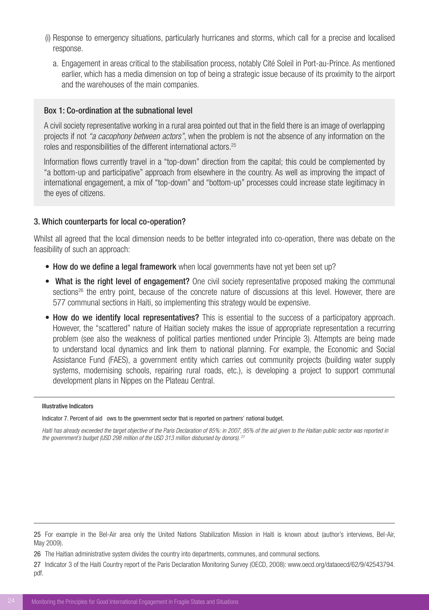- (i) Response to emergency situations, particularly hurricanes and storms, which call for a precise and localised response.
	- a. Engagement in areas critical to the stabilisation process, notably Cité Soleil in Port-au-Prince. As mentioned earlier, which has a media dimension on top of being a strategic issue because of its proximity to the airport and the warehouses of the main companies.

### Box 1: Co-ordination at the subnational level

A civil society representative working in a rural area pointed out that in the field there is an image of overlapping projects if not *"a cacophony between actors"*, when the problem is not the absence of any information on the roles and responsibilities of the different international actors.<sup>25</sup>

Information flows currently travel in a "top-down" direction from the capital; this could be complemented by "a bottom-up and participative" approach from elsewhere in the country. As well as improving the impact of international engagement, a mix of "top-down" and "bottom-up" processes could increase state legitimacy in the eyes of citizens.

### 3. Which counterparts for local co-operation?

Whilst all agreed that the local dimension needs to be better integrated into co-operation, there was debate on the feasibility of such an approach:

- How do we define a legal framework when local governments have not yet been set up?
- What is the right level of engagement? One civil society representative proposed making the communal sections<sup>26</sup> the entry point, because of the concrete nature of discussions at this level. However, there are 577 communal sections in Haiti, so implementing this strategy would be expensive.
- How do we identify local representatives? This is essential to the success of a participatory approach. However, the "scattered" nature of Haitian society makes the issue of appropriate representation a recurring problem (see also the weakness of political parties mentioned under Principle 3). Attempts are being made to understand local dynamics and link them to national planning. For example, the Economic and Social Assistance Fund (FAES), a government entity which carries out community projects (building water supply systems, modernising schools, repairing rural roads, etc.), is developing a project to support communal development plans in Nippes on the Plateau Central.

#### Illustrative Indicators

Indicator 7. Percent of aid f ows to the government sector that is reported on partners' national budget.

*Haiti has already exceeded the target objective of the Paris Declaration of 85%: in 2007, 95% of the aid given to the Haitian public sector was reported in the government's budget (USD 298 million of the USD 313 million disbursed by donors).* <sup>27</sup>

26 The Haitian administrative system divides the country into departments, communes, and communal sections.

27 Indicator 3 of the Haiti Country report of the Paris Declaration Monitoring Survey (OECD, 2008): www.oecd.org/dataoecd/62/9/42543794. pdf.

<sup>25</sup> For example in the Bel-Air area only the United Nations Stabilization Mission in Haiti is known about (author's interviews, Bel-Air, May 2009).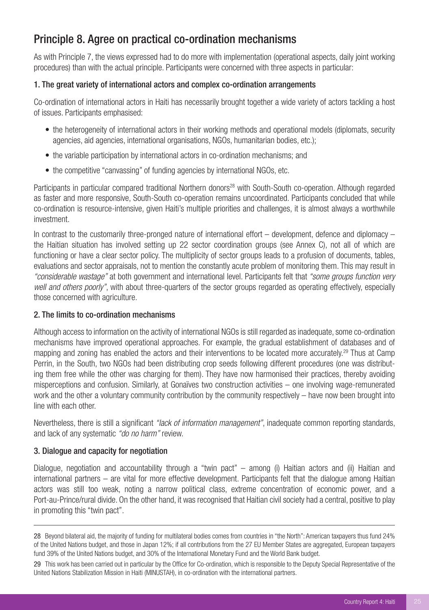### Principle 8. Agree on practical co-ordination mechanisms

As with Principle 7, the views expressed had to do more with implementation (operational aspects, daily joint working procedures) than with the actual principle. Participants were concerned with three aspects in particular:

### 1. The great variety of international actors and complex co-ordination arrangements

Co-ordination of international actors in Haiti has necessarily brought together a wide variety of actors tackling a host of issues. Participants emphasised:

- the heterogeneity of international actors in their working methods and operational models (diplomats, security agencies, aid agencies, international organisations, NGOs, humanitarian bodies, etc.);
- the variable participation by international actors in co-ordination mechanisms; and
- the competitive "canvassing" of funding agencies by international NGOs, etc.

Participants in particular compared traditional Northern donors<sup>28</sup> with South-South co-operation. Although regarded as faster and more responsive, South-South co-operation remains uncoordinated. Participants concluded that while co-ordination is resource-intensive, given Haiti's multiple priorities and challenges, it is almost always a worthwhile investment.

In contrast to the customarily three-pronged nature of international effort – development, defence and diplomacy – the Haitian situation has involved setting up 22 sector coordination groups (see Annex C), not all of which are functioning or have a clear sector policy. The multiplicity of sector groups leads to a profusion of documents, tables, evaluations and sector appraisals, not to mention the constantly acute problem of monitoring them. This may result in *"considerable wastage"* at both government and international level. Participants felt that *"some groups function very well and others poorly"*, with about three-quarters of the sector groups regarded as operating effectively, especially those concerned with agriculture.

### 2. The limits to co-ordination mechanisms

Although access to information on the activity of international NGOs is still regarded as inadequate, some co-ordination mechanisms have improved operational approaches. For example, the gradual establishment of databases and of mapping and zoning has enabled the actors and their interventions to be located more accurately.29 Thus at Camp Perrin, in the South, two NGOs had been distributing crop seeds following different procedures (one was distributing them free while the other was charging for them). They have now harmonised their practices, thereby avoiding misperceptions and confusion. Similarly, at Gonaïves two construction activities – one involving wage-remunerated work and the other a voluntary community contribution by the community respectively – have now been brought into line with each other.

Nevertheless, there is still a significant *"lack of information management"*, inadequate common reporting standards, and lack of any systematic *"do no harm"* review.

### 3. Dialogue and capacity for negotiation

Dialogue, negotiation and accountability through a "twin pact" – among (i) Haitian actors and (ii) Haitian and international partners – are vital for more effective development. Participants felt that the dialogue among Haitian actors was still too weak, noting a narrow political class, extreme concentration of economic power, and a Port-au-Prince/rural divide. On the other hand, it was recognised that Haitian civil society had a central, positive to play in promoting this "twin pact".

<sup>28</sup> Beyond bilateral aid, the majority of funding for multilateral bodies comes from countries in "the North": American taxpayers thus fund 24% of the United Nations budget, and those in Japan 12%; if all contributions from the 27 EU Member States are aggregated, European taxpayers fund 39% of the United Nations budget, and 30% of the International Monetary Fund and the World Bank budget.

<sup>29</sup> This work has been carried out in particular by the Office for Co-ordination, which is responsible to the Deputy Special Representative of the United Nations Stabilization Mission in Haiti (MINUSTAH), in co-ordination with the international partners.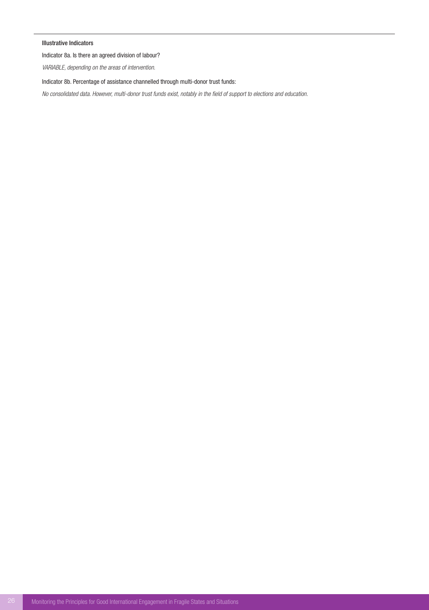#### Illustrative Indicators

### Indicator 8a. Is there an agreed division of labour?

*VARIABLE, depending on the areas of intervention.*

#### Indicator 8b. Percentage of assistance channelled through multi-donor trust funds:

*No consolidated data. However, multi-donor trust funds exist, notably in the field of support to elections and education.*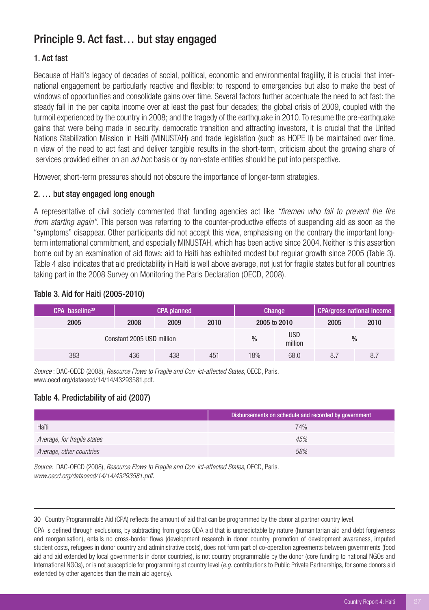### Principle 9. Act fast… but stay engaged

### 1. Act fast

Because of Haiti's legacy of decades of social, political, economic and environmental fragility, it is crucial that international engagement be particularly reactive and flexible: to respond to emergencies but also to make the best of windows of opportunities and consolidate gains over time. Several factors further accentuate the need to act fast: the steady fall in the per capita income over at least the past four decades; the global crisis of 2009, coupled with the turmoil experienced by the country in 2008; and the tragedy of the earthquake in 2010. To resume the pre-earthquake gains that were being made in security, democratic transition and attracting investors, it is crucial that the United Nations Stabilization Mission in Haiti (MINUSTAH) and trade legislation (such as HOPE II) be maintained over time. n view of the need to act fast and deliver tangible results in the short-term, criticism about the growing share of services provided either on an *ad hoc* basis or by non-state entities should be put into perspective.

However, short-term pressures should not obscure the importance of longer-term strategies.

### 2. … but stay engaged long enough

A representative of civil society commented that funding agencies act like *"firemen who fail to prevent the fire from starting again"*. This person was referring to the counter-productive effects of suspending aid as soon as the "symptoms" disappear. Other participants did not accept this view, emphasising on the contrary the important longterm international commitment, and especially MINUSTAH, which has been active since 2004. Neither is this assertion borne out by an examination of aid flows: aid to Haiti has exhibited modest but regular growth since 2005 (Table 3). Table 4 also indicates that aid predictability in Haiti is well above average, not just for fragile states but for all countries taking part in the 2008 Survey on Monitoring the Paris Declaration (OECD, 2008).

| CPA baseline <sup>30</sup><br><b>CPA planned</b> |      | Change |                       | <b>CPA/gross national income</b> |      |      |      |
|--------------------------------------------------|------|--------|-----------------------|----------------------------------|------|------|------|
| 2005                                             | 2008 | 2009   | 2010                  | 2005 to 2010                     |      | 2005 | 2010 |
| Constant 2005 USD million                        |      | $\%$   | <b>USD</b><br>million | $\frac{0}{0}$                    |      |      |      |
| 383                                              | 436  | 438    | 451                   | 18%                              | 68.0 | 8.7  | 8.7  |

### Table 3. Aid for Haiti (2005-2010)

*Source* : DAC-OECD (2008), *Resource Flows to Fragile and Conflict-affected States*, OECD, Paris. www.oecd.org/dataoecd/14/14/43293581.pdf.

### Table 4. Predictability of aid (2007)

|                             | Disbursements on schedule and recorded by government |
|-----------------------------|------------------------------------------------------|
| Haïti                       | 74%                                                  |
| Average, for fragile states | 45%                                                  |
| Average, other countries    | 58%                                                  |

*Source:* DAC-OECD (2008), *Resource Flows to Fragile and Conflict-affected States*, OECD, Paris. *www.oecd.org/dataoecd/14/14/43293581.pdf.*

30 Country Programmable Aid (CPA) reflects the amount of aid that can be programmed by the donor at partner country level.

CPA is defined through exclusions, by subtracting from gross ODA aid that is unpredictable by nature (humanitarian aid and debt forgiveness and reorganisation), entails no cross-border flows (development research in donor country, promotion of development awareness, imputed student costs, refugees in donor country and administrative costs), does not form part of co-operation agreements between governments (food aid and aid extended by local governments in donor countries), is not country programmable by the donor (core funding to national NGOs and International NGOs), or is not susceptible for programming at country level (*e.g.* contributions to Public Private Partnerships, for some donors aid extended by other agencies than the main aid agency).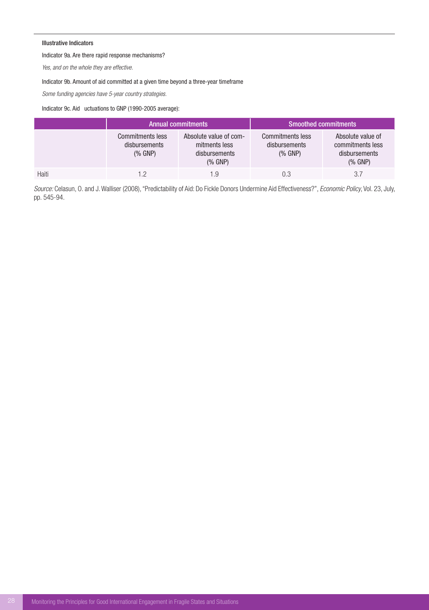#### Illustrative Indicators

Indicator 9a. Are there rapid response mechanisms?

*Yes, and on the whole they are effective.*

#### Indicator 9b. Amount of aid committed at a given time beyond a three-year timeframe

*Some funding agencies have 5-year country strategies.*

Indicator 9c. Aid f uctuations to GNP (1990-2005 average):

|       |                                                     | <b>Annual commitments</b>                                           | <b>Smoothed commitments.</b>                        |                                                                   |  |
|-------|-----------------------------------------------------|---------------------------------------------------------------------|-----------------------------------------------------|-------------------------------------------------------------------|--|
|       | <b>Commitments less</b><br>disbursements<br>(% GNP) | Absolute value of com-<br>mitments less<br>disbursements<br>(% GNP) | <b>Commitments less</b><br>disbursements<br>(% GNP) | Absolute value of<br>commitments less<br>disbursements<br>(% GNP) |  |
| Haiti | 12                                                  | l.9                                                                 | 0.3                                                 | 3.7                                                               |  |

*Source:* Celasun, O. and J. Walliser (2008), "Predictability of Aid: Do Fickle Donors Undermine Aid Effectiveness?", *Economic Policy*, Vol. 23, July, pp. 545-94.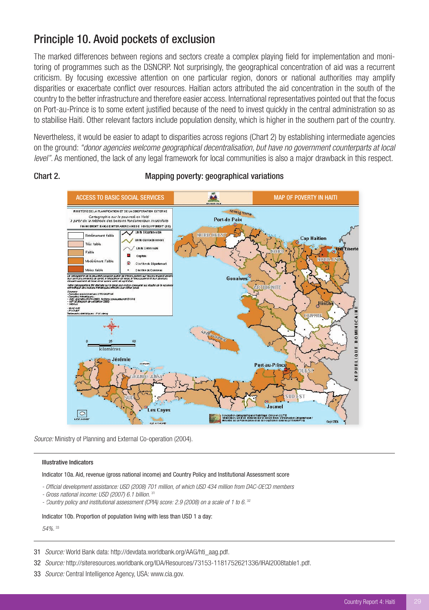### Principle 10. Avoid pockets of exclusion

The marked differences between regions and sectors create a complex playing field for implementation and monitoring of programmes such as the DSNCRP. Not surprisingly, the geographical concentration of aid was a recurrent criticism. By focusing excessive attention on one particular region, donors or national authorities may amplify disparities or exacerbate conflict over resources. Haitian actors attributed the aid concentration in the south of the country to the better infrastructure and therefore easier access. International representatives pointed out that the focus on Port-au-Prince is to some extent justified because of the need to invest quickly in the central administration so as to stabilise Haiti. Other relevant factors include population density, which is higher in the southern part of the country.

Nevertheless, it would be easier to adapt to disparities across regions (Chart 2) by establishing intermediate agencies on the ground: *"donor agencies welcome geographical decentralisation, but have no government counterparts at local level"*. As mentioned, the lack of any legal framework for local communities is also a major drawback in this respect.



### Chart 2. Mapping poverty: geographical variations

*Source:* Ministry of Planning and External Co-operation (2004).

#### Illustrative Indicators

Indicator 10a. Aid, revenue (gross national income) and Country Policy and Institutional Assessment score

- *official development assistance: USD (2008) 701 million, of which USD 434 million from Dac-oEcD members*
- *Gross national income: USD (2007) 6.1 billion.* <sup>31</sup>
- *country policy and institutional assessment (cPIa) score: 2.9 (2008) on a scale of 1 to 6.* <sup>32</sup>

#### Indicator 10b. Proportion of population living with less than USD 1 a day:

*54%.* <sup>33</sup>

- 31 *Source:* World Bank data: http://devdata.worldbank.org/AAG/hti\_aag.pdf.
- 32 *Source:* http://siteresources.worldbank.org/IDA/Resources/73153-1181752621336/IRAI2008table1.pdf.
- 33 *Source:* Central Intelligence Agency, USA: www.cia.gov.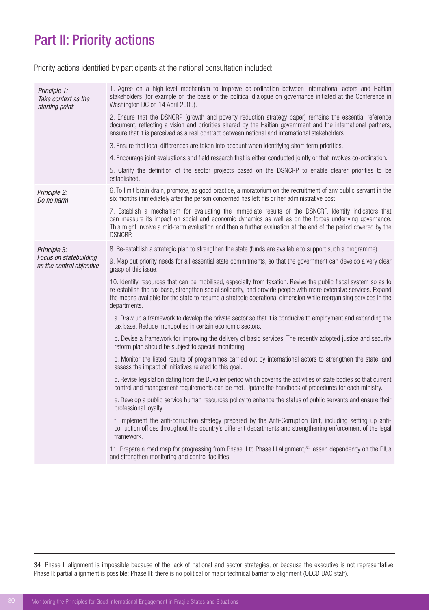# Part II: Priority actions

Priority actions identified by participants at the national consultation included:

| 1. Agree on a high-level mechanism to improve co-ordination between international actors and Haitian<br>Principle 1:<br>stakeholders (for example on the basis of the political dialogue on governance initiated at the Conference in<br>Take context as the<br>Washington DC on 14 April 2009).<br>starting point<br>2. Ensure that the DSNCRP (growth and poverty reduction strategy paper) remains the essential reference<br>document, reflecting a vision and priorities shared by the Haitian government and the international partners;<br>ensure that it is perceived as a real contract between national and international stakeholders.<br>3. Ensure that local differences are taken into account when identifying short-term priorities.<br>4. Encourage joint evaluations and field research that is either conducted jointly or that involves co-ordination.<br>5. Clarify the definition of the sector projects based on the DSNCRP to enable clearer priorities to be<br>established.<br>6. To limit brain drain, promote, as good practice, a moratorium on the recruitment of any public servant in the<br>Principle 2:<br>six months immediately after the person concerned has left his or her administrative post.<br>Do no harm<br>7. Establish a mechanism for evaluating the immediate results of the DSNCRP. Identify indicators that<br>can measure its impact on social and economic dynamics as well as on the forces underlying governance.<br>This might involve a mid-term evaluation and then a further evaluation at the end of the period covered by the<br><b>DSNCRP.</b><br>8. Re-establish a strategic plan to strengthen the state (funds are available to support such a programme).<br>Principle 3:<br>Focus on statebuilding<br>9. Map out priority needs for all essential state commitments, so that the government can develop a very clear<br>as the central objective<br>grasp of this issue.<br>10. Identify resources that can be mobilised, especially from taxation. Revive the public fiscal system so as to<br>re-establish the tax base, strengthen social solidarity, and provide people with more extensive services. Expand<br>the means available for the state to resume a strategic operational dimension while reorganising services in the<br>departments.<br>a. Draw up a framework to develop the private sector so that it is conducive to employment and expanding the<br>tax base. Reduce monopolies in certain economic sectors.<br>b. Devise a framework for improving the delivery of basic services. The recently adopted justice and security<br>reform plan should be subject to special monitoring.<br>c. Monitor the listed results of programmes carried out by international actors to strengthen the state, and<br>assess the impact of initiatives related to this goal.<br>d. Revise legislation dating from the Duvalier period which governs the activities of state bodies so that current<br>control and management requirements can be met. Update the handbook of procedures for each ministry.<br>e. Develop a public service human resources policy to enhance the status of public servants and ensure their<br>professional loyalty.<br>f. Implement the anti-corruption strategy prepared by the Anti-Corruption Unit, including setting up anti-<br>corruption offices throughout the country's different departments and strengthening enforcement of the legal<br>framework.<br>11. Prepare a road map for progressing from Phase II to Phase III alignment, <sup>34</sup> lessen dependency on the PIUs<br>and strengthen monitoring and control facilities. |  |
|------------------------------------------------------------------------------------------------------------------------------------------------------------------------------------------------------------------------------------------------------------------------------------------------------------------------------------------------------------------------------------------------------------------------------------------------------------------------------------------------------------------------------------------------------------------------------------------------------------------------------------------------------------------------------------------------------------------------------------------------------------------------------------------------------------------------------------------------------------------------------------------------------------------------------------------------------------------------------------------------------------------------------------------------------------------------------------------------------------------------------------------------------------------------------------------------------------------------------------------------------------------------------------------------------------------------------------------------------------------------------------------------------------------------------------------------------------------------------------------------------------------------------------------------------------------------------------------------------------------------------------------------------------------------------------------------------------------------------------------------------------------------------------------------------------------------------------------------------------------------------------------------------------------------------------------------------------------------------------------------------------------------------------------------------------------------------------------------------------------------------------------------------------------------------------------------------------------------------------------------------------------------------------------------------------------------------------------------------------------------------------------------------------------------------------------------------------------------------------------------------------------------------------------------------------------------------------------------------------------------------------------------------------------------------------------------------------------------------------------------------------------------------------------------------------------------------------------------------------------------------------------------------------------------------------------------------------------------------------------------------------------------------------------------------------------------------------------------------------------------------------------------------------------------------------------------------------------------------------------------------------------------------------------------------------------------------------------------------------------------------------------------------------------------------------------------------------------------------------------------------------------------------------------------------------------------------------------------------------------------------------------------------------|--|
|                                                                                                                                                                                                                                                                                                                                                                                                                                                                                                                                                                                                                                                                                                                                                                                                                                                                                                                                                                                                                                                                                                                                                                                                                                                                                                                                                                                                                                                                                                                                                                                                                                                                                                                                                                                                                                                                                                                                                                                                                                                                                                                                                                                                                                                                                                                                                                                                                                                                                                                                                                                                                                                                                                                                                                                                                                                                                                                                                                                                                                                                                                                                                                                                                                                                                                                                                                                                                                                                                                                                                                                                                                                            |  |
|                                                                                                                                                                                                                                                                                                                                                                                                                                                                                                                                                                                                                                                                                                                                                                                                                                                                                                                                                                                                                                                                                                                                                                                                                                                                                                                                                                                                                                                                                                                                                                                                                                                                                                                                                                                                                                                                                                                                                                                                                                                                                                                                                                                                                                                                                                                                                                                                                                                                                                                                                                                                                                                                                                                                                                                                                                                                                                                                                                                                                                                                                                                                                                                                                                                                                                                                                                                                                                                                                                                                                                                                                                                            |  |
|                                                                                                                                                                                                                                                                                                                                                                                                                                                                                                                                                                                                                                                                                                                                                                                                                                                                                                                                                                                                                                                                                                                                                                                                                                                                                                                                                                                                                                                                                                                                                                                                                                                                                                                                                                                                                                                                                                                                                                                                                                                                                                                                                                                                                                                                                                                                                                                                                                                                                                                                                                                                                                                                                                                                                                                                                                                                                                                                                                                                                                                                                                                                                                                                                                                                                                                                                                                                                                                                                                                                                                                                                                                            |  |
|                                                                                                                                                                                                                                                                                                                                                                                                                                                                                                                                                                                                                                                                                                                                                                                                                                                                                                                                                                                                                                                                                                                                                                                                                                                                                                                                                                                                                                                                                                                                                                                                                                                                                                                                                                                                                                                                                                                                                                                                                                                                                                                                                                                                                                                                                                                                                                                                                                                                                                                                                                                                                                                                                                                                                                                                                                                                                                                                                                                                                                                                                                                                                                                                                                                                                                                                                                                                                                                                                                                                                                                                                                                            |  |
|                                                                                                                                                                                                                                                                                                                                                                                                                                                                                                                                                                                                                                                                                                                                                                                                                                                                                                                                                                                                                                                                                                                                                                                                                                                                                                                                                                                                                                                                                                                                                                                                                                                                                                                                                                                                                                                                                                                                                                                                                                                                                                                                                                                                                                                                                                                                                                                                                                                                                                                                                                                                                                                                                                                                                                                                                                                                                                                                                                                                                                                                                                                                                                                                                                                                                                                                                                                                                                                                                                                                                                                                                                                            |  |
|                                                                                                                                                                                                                                                                                                                                                                                                                                                                                                                                                                                                                                                                                                                                                                                                                                                                                                                                                                                                                                                                                                                                                                                                                                                                                                                                                                                                                                                                                                                                                                                                                                                                                                                                                                                                                                                                                                                                                                                                                                                                                                                                                                                                                                                                                                                                                                                                                                                                                                                                                                                                                                                                                                                                                                                                                                                                                                                                                                                                                                                                                                                                                                                                                                                                                                                                                                                                                                                                                                                                                                                                                                                            |  |
|                                                                                                                                                                                                                                                                                                                                                                                                                                                                                                                                                                                                                                                                                                                                                                                                                                                                                                                                                                                                                                                                                                                                                                                                                                                                                                                                                                                                                                                                                                                                                                                                                                                                                                                                                                                                                                                                                                                                                                                                                                                                                                                                                                                                                                                                                                                                                                                                                                                                                                                                                                                                                                                                                                                                                                                                                                                                                                                                                                                                                                                                                                                                                                                                                                                                                                                                                                                                                                                                                                                                                                                                                                                            |  |
|                                                                                                                                                                                                                                                                                                                                                                                                                                                                                                                                                                                                                                                                                                                                                                                                                                                                                                                                                                                                                                                                                                                                                                                                                                                                                                                                                                                                                                                                                                                                                                                                                                                                                                                                                                                                                                                                                                                                                                                                                                                                                                                                                                                                                                                                                                                                                                                                                                                                                                                                                                                                                                                                                                                                                                                                                                                                                                                                                                                                                                                                                                                                                                                                                                                                                                                                                                                                                                                                                                                                                                                                                                                            |  |
|                                                                                                                                                                                                                                                                                                                                                                                                                                                                                                                                                                                                                                                                                                                                                                                                                                                                                                                                                                                                                                                                                                                                                                                                                                                                                                                                                                                                                                                                                                                                                                                                                                                                                                                                                                                                                                                                                                                                                                                                                                                                                                                                                                                                                                                                                                                                                                                                                                                                                                                                                                                                                                                                                                                                                                                                                                                                                                                                                                                                                                                                                                                                                                                                                                                                                                                                                                                                                                                                                                                                                                                                                                                            |  |
|                                                                                                                                                                                                                                                                                                                                                                                                                                                                                                                                                                                                                                                                                                                                                                                                                                                                                                                                                                                                                                                                                                                                                                                                                                                                                                                                                                                                                                                                                                                                                                                                                                                                                                                                                                                                                                                                                                                                                                                                                                                                                                                                                                                                                                                                                                                                                                                                                                                                                                                                                                                                                                                                                                                                                                                                                                                                                                                                                                                                                                                                                                                                                                                                                                                                                                                                                                                                                                                                                                                                                                                                                                                            |  |
|                                                                                                                                                                                                                                                                                                                                                                                                                                                                                                                                                                                                                                                                                                                                                                                                                                                                                                                                                                                                                                                                                                                                                                                                                                                                                                                                                                                                                                                                                                                                                                                                                                                                                                                                                                                                                                                                                                                                                                                                                                                                                                                                                                                                                                                                                                                                                                                                                                                                                                                                                                                                                                                                                                                                                                                                                                                                                                                                                                                                                                                                                                                                                                                                                                                                                                                                                                                                                                                                                                                                                                                                                                                            |  |
|                                                                                                                                                                                                                                                                                                                                                                                                                                                                                                                                                                                                                                                                                                                                                                                                                                                                                                                                                                                                                                                                                                                                                                                                                                                                                                                                                                                                                                                                                                                                                                                                                                                                                                                                                                                                                                                                                                                                                                                                                                                                                                                                                                                                                                                                                                                                                                                                                                                                                                                                                                                                                                                                                                                                                                                                                                                                                                                                                                                                                                                                                                                                                                                                                                                                                                                                                                                                                                                                                                                                                                                                                                                            |  |
|                                                                                                                                                                                                                                                                                                                                                                                                                                                                                                                                                                                                                                                                                                                                                                                                                                                                                                                                                                                                                                                                                                                                                                                                                                                                                                                                                                                                                                                                                                                                                                                                                                                                                                                                                                                                                                                                                                                                                                                                                                                                                                                                                                                                                                                                                                                                                                                                                                                                                                                                                                                                                                                                                                                                                                                                                                                                                                                                                                                                                                                                                                                                                                                                                                                                                                                                                                                                                                                                                                                                                                                                                                                            |  |
|                                                                                                                                                                                                                                                                                                                                                                                                                                                                                                                                                                                                                                                                                                                                                                                                                                                                                                                                                                                                                                                                                                                                                                                                                                                                                                                                                                                                                                                                                                                                                                                                                                                                                                                                                                                                                                                                                                                                                                                                                                                                                                                                                                                                                                                                                                                                                                                                                                                                                                                                                                                                                                                                                                                                                                                                                                                                                                                                                                                                                                                                                                                                                                                                                                                                                                                                                                                                                                                                                                                                                                                                                                                            |  |
|                                                                                                                                                                                                                                                                                                                                                                                                                                                                                                                                                                                                                                                                                                                                                                                                                                                                                                                                                                                                                                                                                                                                                                                                                                                                                                                                                                                                                                                                                                                                                                                                                                                                                                                                                                                                                                                                                                                                                                                                                                                                                                                                                                                                                                                                                                                                                                                                                                                                                                                                                                                                                                                                                                                                                                                                                                                                                                                                                                                                                                                                                                                                                                                                                                                                                                                                                                                                                                                                                                                                                                                                                                                            |  |
|                                                                                                                                                                                                                                                                                                                                                                                                                                                                                                                                                                                                                                                                                                                                                                                                                                                                                                                                                                                                                                                                                                                                                                                                                                                                                                                                                                                                                                                                                                                                                                                                                                                                                                                                                                                                                                                                                                                                                                                                                                                                                                                                                                                                                                                                                                                                                                                                                                                                                                                                                                                                                                                                                                                                                                                                                                                                                                                                                                                                                                                                                                                                                                                                                                                                                                                                                                                                                                                                                                                                                                                                                                                            |  |
|                                                                                                                                                                                                                                                                                                                                                                                                                                                                                                                                                                                                                                                                                                                                                                                                                                                                                                                                                                                                                                                                                                                                                                                                                                                                                                                                                                                                                                                                                                                                                                                                                                                                                                                                                                                                                                                                                                                                                                                                                                                                                                                                                                                                                                                                                                                                                                                                                                                                                                                                                                                                                                                                                                                                                                                                                                                                                                                                                                                                                                                                                                                                                                                                                                                                                                                                                                                                                                                                                                                                                                                                                                                            |  |

34 Phase I: alignment is impossible because of the lack of national and sector strategies, or because the executive is not representative; Phase II: partial alignment is possible; Phase III: there is no political or major technical barrier to alignment (OECD DAC staff).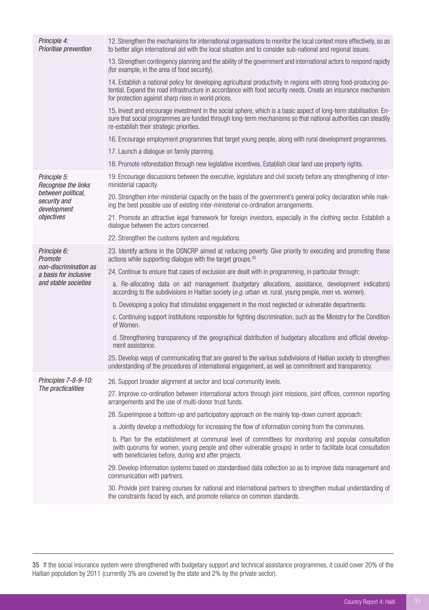| Principle 4:<br>Prioritise prevention                                                                  | 12. Strengthen the mechanisms for international organisations to monitor the local context more effectively, so as<br>to better align international aid with the local situation and to consider sub-national and regional issues.                                                         |  |  |  |  |  |  |
|--------------------------------------------------------------------------------------------------------|--------------------------------------------------------------------------------------------------------------------------------------------------------------------------------------------------------------------------------------------------------------------------------------------|--|--|--|--|--|--|
|                                                                                                        | 13. Strengthen contingency planning and the ability of the government and international actors to respond rapidly<br>(for example, in the area of food security).                                                                                                                          |  |  |  |  |  |  |
|                                                                                                        | 14. Establish a national policy for developing agricultural productivity in regions with strong food-producing po-<br>tential. Expand the road infrastructure in accordance with food security needs. Create an insurance mechanism<br>for protection against sharp rises in world prices. |  |  |  |  |  |  |
|                                                                                                        | 15. Invest and encourage investment in the social sphere, which is a basic aspect of long-term stabilisation. En-<br>sure that social programmes are funded through long-term mechanisms so that national authorities can steadily<br>re-establish their strategic priorities.             |  |  |  |  |  |  |
|                                                                                                        | 16. Encourage employment programmes that target young people, along with rural development programmes.                                                                                                                                                                                     |  |  |  |  |  |  |
|                                                                                                        | 17. Launch a dialogue on family planning.                                                                                                                                                                                                                                                  |  |  |  |  |  |  |
|                                                                                                        | 18. Promote reforestation through new legislative incentives. Establish clear land use property rights.                                                                                                                                                                                    |  |  |  |  |  |  |
| Principle 5:<br>Recognise the links<br>between political,<br>security and<br>development<br>objectives | 19. Encourage discussions between the executive, legislature and civil society before any strengthening of inter-<br>ministerial capacity.                                                                                                                                                 |  |  |  |  |  |  |
|                                                                                                        | 20. Strengthen inter-ministerial capacity on the basis of the government's general policy declaration while mak-<br>ing the best possible use of existing inter-ministerial co-ordination arrangements.                                                                                    |  |  |  |  |  |  |
|                                                                                                        | 21. Promote an attractive legal framework for foreign investors, especially in the clothing sector. Establish a<br>dialogue between the actors concerned.                                                                                                                                  |  |  |  |  |  |  |
|                                                                                                        | 22. Strengthen the customs system and regulations.                                                                                                                                                                                                                                         |  |  |  |  |  |  |
| Principle 6:<br>Promote                                                                                | 23. Identify actions in the DSNCRP aimed at reducing poverty. Give priority to executing and promoting these<br>actions while supporting dialogue with the target groups. <sup>35</sup>                                                                                                    |  |  |  |  |  |  |
| non-discrimination as<br>a basis for inclusive                                                         | 24. Continue to ensure that cases of exclusion are dealt with in programming, in particular through:                                                                                                                                                                                       |  |  |  |  |  |  |
| and stable societies                                                                                   | a. Re-allocating data on aid management (budgetary allocations, assistance, development indicators)<br>according to the subdivisions in Haitian society $(e.g.$ urban $vs.$ rural, young people, men vs. women).                                                                           |  |  |  |  |  |  |
|                                                                                                        | b. Developing a policy that stimulates engagement in the most neglected or vulnerable departments.                                                                                                                                                                                         |  |  |  |  |  |  |
|                                                                                                        | c. Continuing support institutions responsible for fighting discrimination, such as the Ministry for the Condition<br>of Women.                                                                                                                                                            |  |  |  |  |  |  |
|                                                                                                        | d. Strengthening transparency of the geographical distribution of budgetary allocations and official develop-<br>ment assistance.                                                                                                                                                          |  |  |  |  |  |  |
|                                                                                                        | 25. Develop ways of communicating that are geared to the various subdivisions of Haitian society to strengthen<br>understanding of the procedures of international engagement, as well as commitment and transparency.                                                                     |  |  |  |  |  |  |
| Principles 7-8-9-10:                                                                                   | 26. Support broader alignment at sector and local community levels.                                                                                                                                                                                                                        |  |  |  |  |  |  |
| The practicalities                                                                                     | 27. Improve co-ordination between international actors through joint missions, joint offices, common reporting<br>arrangements and the use of multi-donor trust funds.                                                                                                                     |  |  |  |  |  |  |
|                                                                                                        | 28. Superimpose a bottom-up and participatory approach on the mainly top-down current approach:                                                                                                                                                                                            |  |  |  |  |  |  |
|                                                                                                        | a. Jointly develop a methodology for increasing the flow of information coming from the communes.                                                                                                                                                                                          |  |  |  |  |  |  |
|                                                                                                        | b. Plan for the establishment at communal level of committees for monitoring and popular consultation<br>(with quorums for women, young people and other vulnerable groups) in order to facilitate local consultation<br>with beneficiaries before, during and after projects.             |  |  |  |  |  |  |
|                                                                                                        | 29. Develop information systems based on standardised data collection so as to improve data management and<br>communication with partners.                                                                                                                                                 |  |  |  |  |  |  |
|                                                                                                        | 30. Provide joint training courses for national and international partners to strengthen mutual understanding of<br>the constraints faced by each, and promote reliance on common standards.                                                                                               |  |  |  |  |  |  |

35 If the social insurance system were strengthened with budgetary support and technical assistance programmes, it could cover 20% of the Haitian population by 2011 (currently 3% are covered by the state and 2% by the private sector).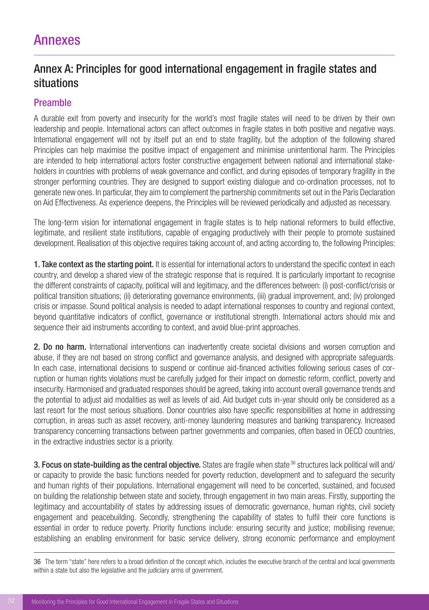### Annex A: Principles for good international engagement in fragile states and situations

### Preamble

A durable exit from poverty and insecurity for the world's most fragile states will need to be driven by their own leadership and people. International actors can affect outcomes in fragile states in both positive and negative ways. International engagement will not by itself put an end to state fragility, but the adoption of the following shared Principles can help maximise the positive impact of engagement and minimise unintentional harm. The Principles are intended to help international actors foster constructive engagement between national and international stakeholders in countries with problems of weak governance and conflict, and during episodes of temporary fragility in the stronger performing countries. They are designed to support existing dialogue and co-ordination processes, not to generate new ones. In particular, they aim to complement the partnership commitments set out in the Paris Declaration on Aid Effectiveness. As experience deepens, the Principles will be reviewed periodically and adjusted as necessary.

The long-term vision for international engagement in fragile states is to help national reformers to build effective, legitimate, and resilient state institutions, capable of engaging productively with their people to promote sustained development. Realisation of this objective requires taking account of, and acting according to, the following Principles:

1. Take context as the starting point. It is essential for international actors to understand the specific context in each country, and develop a shared view of the strategic response that is required. It is particularly important to recognise the different constraints of capacity, political will and legitimacy, and the differences between: (i) post-conflict/crisis or political transition situations; (ii) deteriorating governance environments, (iii) gradual improvement, and; (iv) prolonged crisis or impasse. Sound political analysis is needed to adapt international responses to country and regional context, beyond quantitative indicators of conflict, governance or institutional strength. International actors should mix and sequence their aid instruments according to context, and avoid blue-print approaches.

2. Do no harm. International interventions can inadvertently create societal divisions and worsen corruption and abuse, if they are not based on strong conflict and governance analysis, and designed with appropriate safeguards. In each case, international decisions to suspend or continue aid-financed activities following serious cases of corruption or human rights violations must be carefully judged for their impact on domestic reform, conflict, poverty and insecurity. Harmonised and graduated responses should be agreed, taking into account overall governance trends and the potential to adjust aid modalities as well as levels of aid. Aid budget cuts in-year should only be considered as a last resort for the most serious situations. Donor countries also have specific responsibilities at home in addressing corruption, in areas such as asset recovery, anti-money laundering measures and banking transparency. Increased transparency concerning transactions between partner governments and companies, often based in OECD countries, in the extractive industries sector is a priority.

3. Focus on state-building as the central objective. States are fragile when state <sup>36</sup> structures lack political will and/ or capacity to provide the basic functions needed for poverty reduction, development and to safeguard the security and human rights of their populations. International engagement will need to be concerted, sustained, and focused on building the relationship between state and society, through engagement in two main areas. Firstly, supporting the legitimacy and accountability of states by addressing issues of democratic governance, human rights, civil society engagement and peacebuilding. Secondly, strengthening the capability of states to fulfil their core functions is essential in order to reduce poverty. Priority functions include: ensuring security and justice; mobilising revenue; establishing an enabling environment for basic service delivery, strong economic performance and employment

36 The term "state" here refers to a broad definition of the concept which, includes the executive branch of the central and local governments within a state but also the legislative and the judiciary arms of government.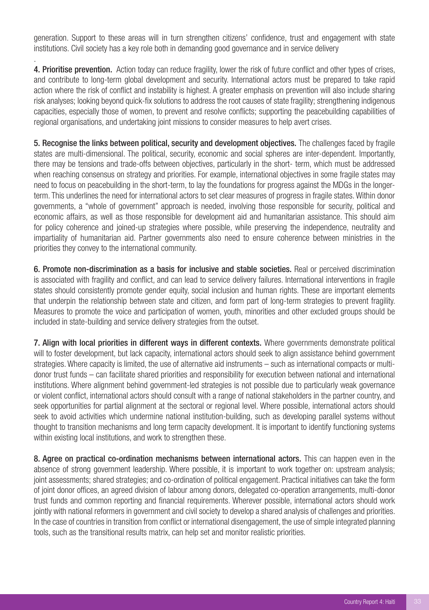generation. Support to these areas will in turn strengthen citizens' confidence, trust and engagement with state institutions. Civil society has a key role both in demanding good governance and in service delivery

.

4. Prioritise prevention. Action today can reduce fragility, lower the risk of future conflict and other types of crises, and contribute to long-term global development and security. International actors must be prepared to take rapid action where the risk of conflict and instability is highest. A greater emphasis on prevention will also include sharing risk analyses; looking beyond quick-fix solutions to address the root causes of state fragility; strengthening indigenous capacities, especially those of women, to prevent and resolve conflicts; supporting the peacebuilding capabilities of regional organisations, and undertaking joint missions to consider measures to help avert crises.

5. Recognise the links between political, security and development objectives. The challenges faced by fragile states are multi-dimensional. The political, security, economic and social spheres are inter-dependent. Importantly, there may be tensions and trade-offs between objectives, particularly in the short- term, which must be addressed when reaching consensus on strategy and priorities. For example, international objectives in some fragile states may need to focus on peacebuilding in the short-term, to lay the foundations for progress against the MDGs in the longerterm. This underlines the need for international actors to set clear measures of progress in fragile states. Within donor governments, a "whole of government" approach is needed, involving those responsible for security, political and economic affairs, as well as those responsible for development aid and humanitarian assistance. This should aim for policy coherence and joined-up strategies where possible, while preserving the independence, neutrality and impartiality of humanitarian aid. Partner governments also need to ensure coherence between ministries in the priorities they convey to the international community.

6. Promote non-discrimination as a basis for inclusive and stable societies. Real or perceived discrimination is associated with fragility and conflict, and can lead to service delivery failures. International interventions in fragile states should consistently promote gender equity, social inclusion and human rights. These are important elements that underpin the relationship between state and citizen, and form part of long-term strategies to prevent fragility. Measures to promote the voice and participation of women, youth, minorities and other excluded groups should be included in state-building and service delivery strategies from the outset.

7. Align with local priorities in different ways in different contexts. Where governments demonstrate political will to foster development, but lack capacity, international actors should seek to align assistance behind government strategies. Where capacity is limited, the use of alternative aid instruments – such as international compacts or multidonor trust funds – can facilitate shared priorities and responsibility for execution between national and international institutions. Where alignment behind government-led strategies is not possible due to particularly weak governance or violent conflict, international actors should consult with a range of national stakeholders in the partner country, and seek opportunities for partial alignment at the sectoral or regional level. Where possible, international actors should seek to avoid activities which undermine national institution-building, such as developing parallel systems without thought to transition mechanisms and long term capacity development. It is important to identify functioning systems within existing local institutions, and work to strengthen these.

8. Agree on practical co-ordination mechanisms between international actors. This can happen even in the absence of strong government leadership. Where possible, it is important to work together on: upstream analysis; joint assessments; shared strategies; and co-ordination of political engagement. Practical initiatives can take the form of joint donor offices, an agreed division of labour among donors, delegated co-operation arrangements, multi-donor trust funds and common reporting and financial requirements. Wherever possible, international actors should work jointly with national reformers in government and civil society to develop a shared analysis of challenges and priorities. In the case of countries in transition from conflict or international disengagement, the use of simple integrated planning tools, such as the transitional results matrix, can help set and monitor realistic priorities.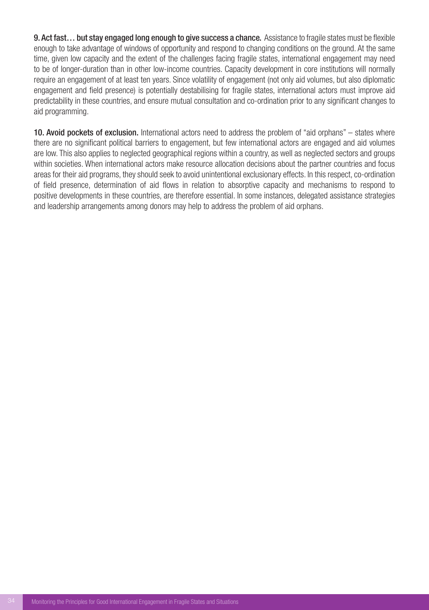9. Act fast... but stay engaged long enough to give success a chance. Assistance to fragile states must be flexible enough to take advantage of windows of opportunity and respond to changing conditions on the ground. At the same time, given low capacity and the extent of the challenges facing fragile states, international engagement may need to be of longer-duration than in other low-income countries. Capacity development in core institutions will normally require an engagement of at least ten years. Since volatility of engagement (not only aid volumes, but also diplomatic engagement and field presence) is potentially destabilising for fragile states, international actors must improve aid predictability in these countries, and ensure mutual consultation and co-ordination prior to any significant changes to aid programming.

10. Avoid pockets of exclusion. International actors need to address the problem of "aid orphans" – states where there are no significant political barriers to engagement, but few international actors are engaged and aid volumes are low. This also applies to neglected geographical regions within a country, as well as neglected sectors and groups within societies. When international actors make resource allocation decisions about the partner countries and focus areas for their aid programs, they should seek to avoid unintentional exclusionary effects. In this respect, co-ordination of field presence, determination of aid flows in relation to absorptive capacity and mechanisms to respond to positive developments in these countries, are therefore essential. In some instances, delegated assistance strategies and leadership arrangements among donors may help to address the problem of aid orphans.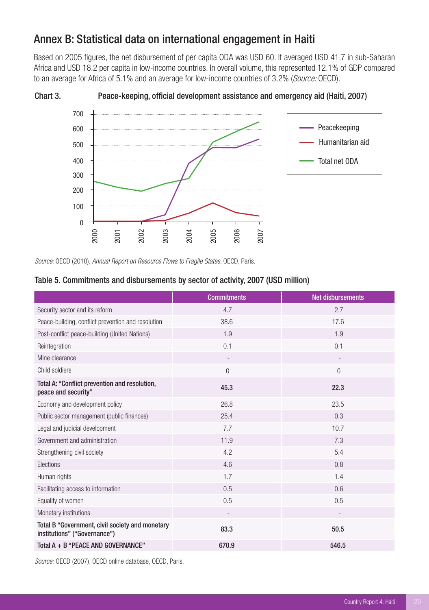### Annex B: Statistical data on international engagement in Haiti

Based on 2005 figures, the net disbursement of per capita ODA was USD 60. It averaged USD 41.7 in sub-Saharan Africa and USD 18.2 per capita in low-income countries. In overall volume, this represented 12.1% of GDP compared to an average for Africa of 5.1% and an average for low-income countries of 3.2% (*Source:* OECD).





*Source*: OECD (2010), *Annual Report on Resource Flows to Fragile States*, OECD, Paris.

### Table 5. Commitments and disbursements by sector of activity, 2007 (USD million)

|                                                                                 | <b>Commitments</b>       | <b>Net disbursements</b> |
|---------------------------------------------------------------------------------|--------------------------|--------------------------|
| Security sector and its reform                                                  | 4.7                      | 2.7                      |
| Peace-building, conflict prevention and resolution                              | 38.6                     | 17.6                     |
| Post-conflict peace-building (United Nations)                                   | 1.9                      | 1.9                      |
| Reintegration                                                                   | 0.1                      | 0.1                      |
| Mine clearance                                                                  | $\overline{\phantom{a}}$ |                          |
| Child soldiers                                                                  | $\overline{0}$           | $\overline{0}$           |
| Total A: "Conflict prevention and resolution,<br>peace and security"            | 45.3                     | 22.3                     |
| Economy and development policy                                                  | 26.8                     | 23.5                     |
| Public sector management (public finances)                                      | 25.4                     | 0.3                      |
| Legal and judicial development                                                  | 7.7                      | 10.7                     |
| Government and administration                                                   | 11.9                     | 7.3                      |
| Strengthening civil society                                                     | 4.2                      | 5.4                      |
| Elections                                                                       | 4.6                      | 0.8                      |
| Human rights                                                                    | 1.7                      | 1.4                      |
| Facilitating access to information                                              | 0.5                      | 0.6                      |
| Equality of women                                                               | 0.5                      | 0.5                      |
| Monetary institutions                                                           | $\overline{\phantom{a}}$ | $\overline{\phantom{a}}$ |
| Total B "Government, civil society and monetary<br>institutions" ("Governance") | 83.3                     | 50.5                     |
| Total A + B "PEACE AND GOVERNANCE"                                              | 670.9                    | 546.5                    |

*Source:* OECD (2007), OECD online database, OECD, Paris.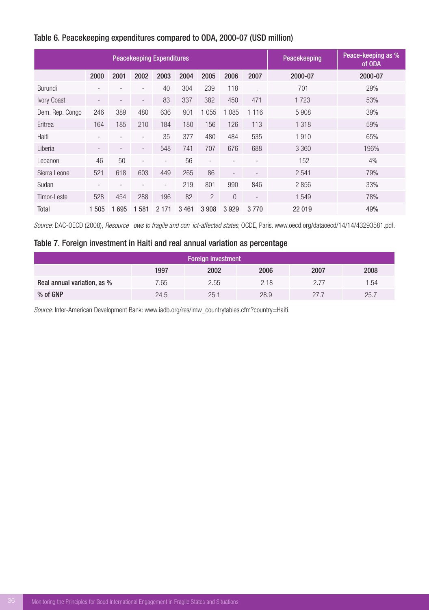### Table 6. Peacekeeping expenditures compared to ODA, 2000-07 (USD million)

| <b>Peacekeeping Expenditures</b> |                          |      |                          |                          |      |                          |                          | Peacekeeping             | Peace-keeping as %<br>of ODA |         |
|----------------------------------|--------------------------|------|--------------------------|--------------------------|------|--------------------------|--------------------------|--------------------------|------------------------------|---------|
|                                  | 2000                     | 2001 | 2002                     | 2003                     | 2004 | 2005                     | 2006                     | 2007                     | 2000-07                      | 2000-07 |
| <b>Burundi</b>                   | $\overline{\phantom{a}}$ |      |                          | 40                       | 304  | 239                      | 118                      |                          | 701                          | 29%     |
| Ivory Coast                      | $\overline{\phantom{a}}$ |      |                          | 83                       | 337  | 382                      | 450                      | 471                      | 1 7 2 3                      | 53%     |
| Dem. Rep. Congo                  | 246                      | 389  | 480                      | 636                      | 901  | 055                      | 1 0 8 5                  | 1 1 1 6                  | 5 9 0 8                      | 39%     |
| Eritrea                          | 164                      | 185  | 210                      | 184                      | 180  | 156                      | 126                      | 113                      | 1 3 1 8                      | 59%     |
| Haiti                            |                          |      |                          | 35                       | 377  | 480                      | 484                      | 535                      | 1910                         | 65%     |
| Liberia                          | $\overline{\phantom{a}}$ |      | $\qquad \qquad -$        | 548                      | 741  | 707                      | 676                      | 688                      | 3 3 6 0                      | 196%    |
| Lebanon                          | 46                       | 50   | $\overline{\phantom{a}}$ | ٠                        | 56   | $\overline{\phantom{a}}$ |                          |                          | 152                          | 4%      |
| Sierra Leone                     | 521                      | 618  | 603                      | 449                      | 265  | 86                       | $\overline{\phantom{a}}$ | $\overline{\phantom{a}}$ | 2 5 4 1                      | 79%     |
| Sudan                            | $\overline{\phantom{a}}$ |      |                          | $\overline{\phantom{a}}$ | 219  | 801                      | 990                      | 846                      | 2856                         | 33%     |
| Timor-Leste                      | 528                      | 454  | 288                      | 196                      | 82   | $\overline{2}$           | $\overline{0}$           | $\overline{\phantom{a}}$ | 1 5 4 9                      | 78%     |
| <b>Total</b>                     | 1 505                    | 695  | 581                      | 2 1 7 1                  | 3461 | 3 9 0 8                  | 3929                     | 3770                     | 22 019                       | 49%     |

Source: DAC-OECD (2008), Resource f ows to fragile and confict-affected states, OCDE, Paris. www.oecd.org/dataoecd/14/14/43293581.pdf.

### Table 7. Foreign investment in Haiti and real annual variation as percentage

| Foreign investment          |      |      |      |       |      |  |  |  |  |
|-----------------------------|------|------|------|-------|------|--|--|--|--|
|                             | 1997 | 2002 | 2006 | 2007  | 2008 |  |  |  |  |
| Real annual variation, as % | 7.65 | 2.55 | 2.18 | 2 7 7 | 1.54 |  |  |  |  |
| % of GNP                    | 24.5 | 25.1 | 28.9 | 27.7  | 25.7 |  |  |  |  |

*Source:* Inter-American Development Bank: www.iadb.org/res/lmw\_countrytables.cfm?country=Haiti.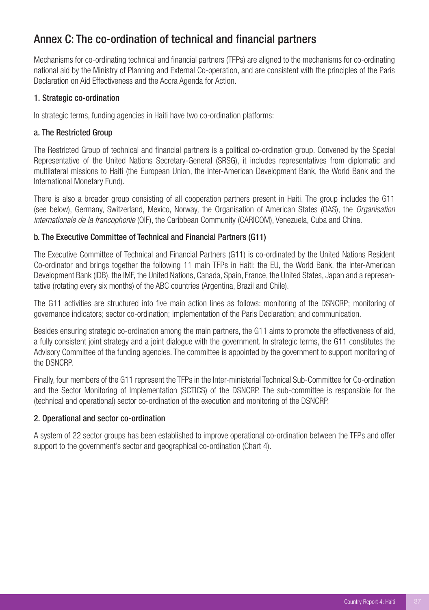### Annex C: The co-ordination of technical and financial partners

Mechanisms for co-ordinating technical and financial partners (TFPs) are aligned to the mechanisms for co-ordinating national aid by the Ministry of Planning and External Co-operation, and are consistent with the principles of the Paris Declaration on Aid Effectiveness and the Accra Agenda for Action.

### 1. Strategic co-ordination

In strategic terms, funding agencies in Haiti have two co-ordination platforms:

### a. The Restricted Group

The Restricted Group of technical and financial partners is a political co-ordination group. Convened by the Special Representative of the United Nations Secretary-General (SRSG), it includes representatives from diplomatic and multilateral missions to Haiti (the European Union, the Inter-American Development Bank, the World Bank and the International Monetary Fund).

There is also a broader group consisting of all cooperation partners present in Haiti. The group includes the G11 (see below), Germany, Switzerland, Mexico, Norway, the Organisation of American States (OAS), the *Organisation internationale de la francophonie* (OIF), the Caribbean Community (CARICOM), Venezuela, Cuba and China.

### b. The Executive Committee of Technical and Financial Partners (G11)

The Executive Committee of Technical and Financial Partners (G11) is co-ordinated by the United Nations Resident Co-ordinator and brings together the following 11 main TFPs in Haiti: the EU, the World Bank, the Inter-American Development Bank (IDB), the IMF, the United Nations, Canada, Spain, France, the United States, Japan and a representative (rotating every six months) of the ABC countries (Argentina, Brazil and Chile).

The G11 activities are structured into five main action lines as follows: monitoring of the DSNCRP; monitoring of governance indicators; sector co-ordination; implementation of the Paris Declaration; and communication.

Besides ensuring strategic co-ordination among the main partners, the G11 aims to promote the effectiveness of aid, a fully consistent joint strategy and a joint dialogue with the government. In strategic terms, the G11 constitutes the Advisory Committee of the funding agencies. The committee is appointed by the government to support monitoring of the DSNCRP.

Finally, four members of the G11 represent the TFPs in the Inter-ministerial Technical Sub-Committee for Co-ordination and the Sector Monitoring of Implementation (SCTICS) of the DSNCRP. The sub-committee is responsible for the (technical and operational) sector co-ordination of the execution and monitoring of the DSNCRP.

### 2. Operational and sector co-ordination

A system of 22 sector groups has been established to improve operational co-ordination between the TFPs and offer support to the government's sector and geographical co-ordination (Chart 4).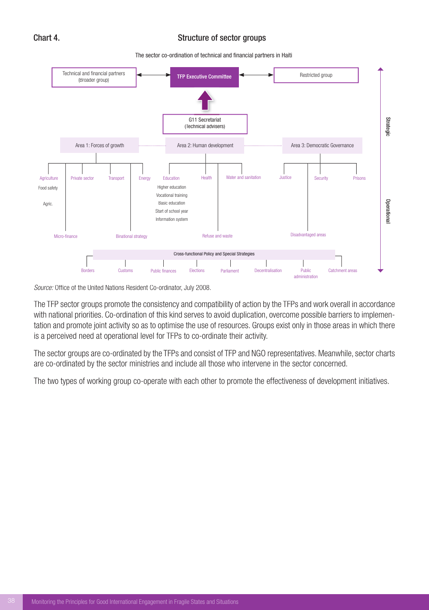### Chart 4. Chart 4.



The sector co-ordination of technical and financial partners in Haiti

*Source:* Office of the United Nations Resident Co-ordinator, July 2008.

The TFP sector groups promote the consistency and compatibility of action by the TFPs and work overall in accordance with national priorities. Co-ordination of this kind serves to avoid duplication, overcome possible barriers to implementation and promote joint activity so as to optimise the use of resources. Groups exist only in those areas in which there is a perceived need at operational level for TFPs to co-ordinate their activity.

The sector groups are co-ordinated by the TFPs and consist of TFP and NGO representatives. Meanwhile, sector charts are co-ordinated by the sector ministries and include all those who intervene in the sector concerned.

The two types of working group co-operate with each other to promote the effectiveness of development initiatives.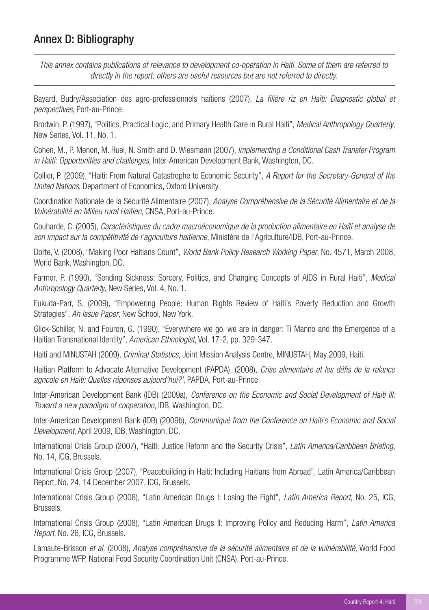### Annex D: Bibliography

*This annex contains publications of relevance to development co-operation in Haiti. Some of them are referred to directly in the report; others are useful resources but are not referred to directly.* 

Bayard, Budry/Association des agro-professionnels haïtiens (2007), *La filière riz en Haïti: Diagnostic global et perspectives*, Port-au-Prince.

Brodwin, P. (1997), "Politics, Practical Logic, and Primary Health Care in Rural Haiti", *Medical Anthropology Quarterly*, New Series, Vol. 11, No. 1.

Cohen, M., P. Menon, M. Ruel, N. Smith and D. Wiesmann (2007), *Implementing a Conditional Cash Transfer Program in Haiti: Opportunities and challenges*, Inter-American Development Bank, Washington, DC.

Collier, P. (2009), "Haiti: From Natural Catastrophe to Economic Security", *A Report for the Secretary-General of the United Nations*, Department of Economics, Oxford University.

Coordination Nationale de la Sécurité Alimentaire (2007), *Analyse Compréhensive de la Sécurité Alimentaire et de la Vulnérabilité en Milieu rural Haïtien*, CNSA, Port-au-Prince.

Couharde, C. (2005), *Caractéristiques du cadre macroéconomique de la production alimentaire en Haïti et analyse de son impact sur la compétitivité de l'agriculture haïtienne*, Ministère de l'Agriculture/IDB, Port-au-Prince.

Dorte, V. (2008), "Making Poor Haitians Count", *World Bank Policy Research Working Paper*, No. 4571, March 2008, World Bank, Washington, DC.

Farmer, P. (1990), "Sending Sickness: Sorcery, Politics, and Changing Concepts of AIDS in Rural Haiti", *Medical Anthropology Quarterly*, New Series, Vol. 4, No. 1.

Fukuda-Parr, S. (2009), "Empowering People: Human Rights Review of Haiti's Poverty Reduction and Growth Strategies". *An Issue Paper*, New School, New York.

Glick-Schiller, N. and Fouron, G. (1990), "Everywhere we go, we are in danger: Ti Manno and the Emergence of a Haitian Transnational Identity", *American Ethnologist*, Vol. 17-2, pp. 329-347.

Haiti and MINUSTAH (2009), *Criminal Statistics*, Joint Mission Analysis Centre, MINUSTAH, May 2009, Haiti.

Haitian Platform to Advocate Alternative Development (PAPDA), (2008), *Crise alimentaire et les défis de la relance agricole en Haïti: Quelles réponses aujourd'hui?'*, PAPDA, Port-au-Prince.

Inter-American Development Bank (IDB) (2009a), *Conference on the Economic and Social Development of Haiti III: Toward a new paradigm of cooperation*, IDB, Washington, DC.

Inter-American Development Bank (IDB) (2009b), *Communiqué from the Conference on Haiti´s Economic and Social Development*, April 2009, IDB, Washington, DC.

International Crisis Group (2007), "Haiti: Justice Reform and the Security Crisis", *Latin America/Caribbean Briefing*, No. 14, ICG, Brussels.

International Crisis Group (2007), "Peacebuilding in Haiti: Including Haitians from Abroad", Latin America/Caribbean Report, No. 24, 14 December 2007, ICG, Brussels.

International Crisis Group (2008), "Latin American Drugs I: Losing the Fight", *Latin America Report*, No. 25, ICG, Brussels.

International Crisis Group (2008), "Latin American Drugs II: Improving Policy and Reducing Harm", *Latin America Report*, No. 26, ICG, Brussels.

Lamaute-Brisson *et al.* (2008), *Analyse compréhensive de la sécurité alimentaire et de la vulnérabilité*, World Food Programme WFP, National Food Security Coordination Unit (CNSA), Port-au-Prince.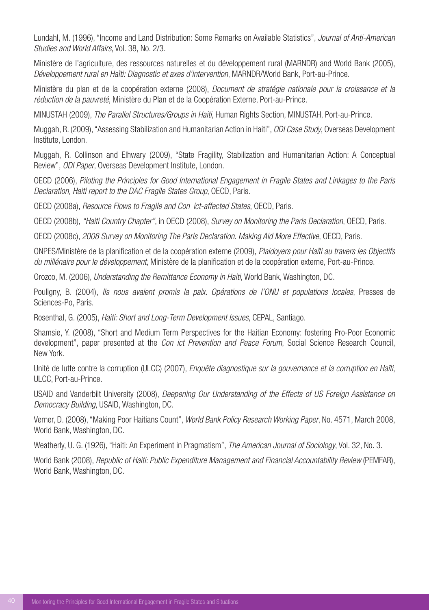Lundahl, M. (1996), "Income and Land Distribution: Some Remarks on Available Statistics", *Journal of Anti-American Studies and World Affairs*, Vol. 38, No. 2/3.

Ministère de l'agriculture, des ressources naturelles et du développement rural (MARNDR) and World Bank (2005), *Développement rural en Haïti: Diagnostic et axes d'intervention*, MARNDR/World Bank, Port-au-Prince.

Ministère du plan et de la coopération externe (2008), *Document de stratégie nationale pour la croissance et la réduction de la pauvreté*, Ministère du Plan et de la Coopération Externe, Port-au-Prince.

MINUSTAH (2009), *The Parallel Structures/Groups in Haiti*, Human Rights Section, MINUSTAH, Port-au-Prince.

Muggah, R. (2009), "Assessing Stabilization and Humanitarian Action in Haiti", *ODI Case Study*, Overseas Development Institute, London.

Muggah, R. Collinson and Elhwary (2009), "State Fragility, Stabilization and Humanitarian Action: A Conceptual Review", *ODI Paper*, Overseas Development Institute, London.

OECD (2006), *Piloting the Principles for Good International Engagement in Fragile States and Linkages to the Paris Declaration, Haiti report to the DAC Fragile States Group*, OECD, Paris.

OECD (2008a), *Resource Flows to Fragile and Conflict-affected States*, OECD, Paris.

OECD (2008b), *"Haiti Country Chapter"*, in OECD (2008), *Survey on Monitoring the Paris Declaration*, OECD, Paris.

OECD (2008c), *2008 Survey on Monitoring The Paris Declaration. Making Aid More Effective*, OECD, Paris.

ONPES/Ministère de la planification et de la coopération externe (2009), *Plaidoyers pour Haïti au travers les Objectifs du millénaire pour le développement*, Ministère de la planification et de la coopération externe, Port-au-Prince.

Orozco, M. (2006), *Understanding the Remittance Economy in Haiti*, World Bank, Washington, DC.

Pouligny, B. (2004), *Ils nous avaient promis la paix. Opérations de l'ONU et populations locales*, Presses de Sciences-Po, Paris.

Rosenthal, G. (2005), *Haiti: Short and Long-Term Development Issues*, CEPAL, Santiago.

Shamsie, Y. (2008), "Short and Medium Term Perspectives for the Haitian Economy: fostering Pro-Poor Economic development", paper presented at the *Conflict Prevention and Peace Forum*, Social Science Research Council, New York.

Unité de lutte contre la corruption (ULCC) (2007), *Enquête diagnostique sur la gouvernance et la corruption en Haïti*, ULCC, Port-au-Prince.

USAID and Vanderbilt University (2008), *Deepening Our Understanding of the Effects of US Foreign Assistance on Democracy Building*, USAID, Washington, DC.

Verner, D. (2008), "Making Poor Haitians Count", *World Bank Policy Research Working Paper*, No. 4571, March 2008, World Bank, Washington, DC.

Weatherly, U. G. (1926), "Haiti: An Experiment in Pragmatism", *The American Journal of Sociology*, Vol. 32, No. 3.

World Bank (2008), *Republic of Haiti: Public Expenditure Management and Financial Accountability Review* (PEMFAR), World Bank, Washington, DC.